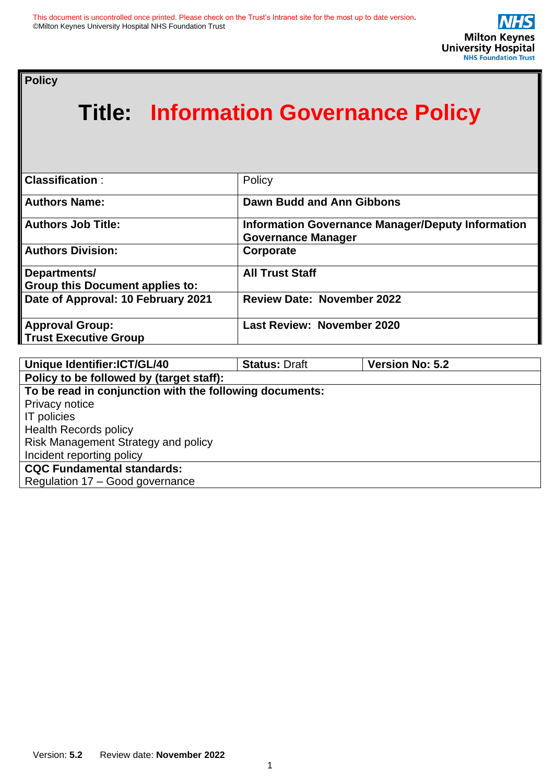**Policy** 

# **Title: Information Governance Policy**

| <b>Classification:</b>                                 | Policy                                                                                |
|--------------------------------------------------------|---------------------------------------------------------------------------------------|
| <b>Authors Name:</b>                                   | Dawn Budd and Ann Gibbons                                                             |
| <b>Authors Job Title:</b>                              | <b>Information Governance Manager/Deputy Information</b><br><b>Governance Manager</b> |
| <b>Authors Division:</b>                               | Corporate                                                                             |
| Departments/<br><b>Group this Document applies to:</b> | <b>All Trust Staff</b>                                                                |
| Date of Approval: 10 February 2021                     | <b>Review Date: November 2022</b>                                                     |
| <b>Approval Group:</b><br><b>Trust Executive Group</b> | <b>Last Review: November 2020</b>                                                     |

| Unique Identifier: ICT/GL/40                            | <b>Status: Draft</b> | <b>Version No: 5.2</b> |  |
|---------------------------------------------------------|----------------------|------------------------|--|
| Policy to be followed by (target staff):                |                      |                        |  |
| To be read in conjunction with the following documents: |                      |                        |  |
| Privacy notice                                          |                      |                        |  |
| <b>IT</b> policies                                      |                      |                        |  |
| <b>Health Records policy</b>                            |                      |                        |  |
| Risk Management Strategy and policy                     |                      |                        |  |
| Incident reporting policy                               |                      |                        |  |
| <b>CQC Fundamental standards:</b>                       |                      |                        |  |
| Regulation 17 - Good governance                         |                      |                        |  |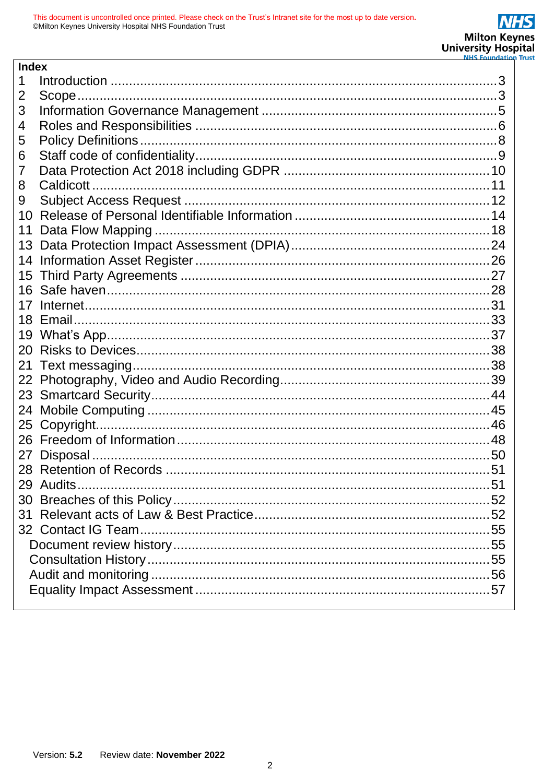| <b>Index</b> |  |
|--------------|--|
|              |  |
| 2            |  |
| 3            |  |
| 4            |  |
| 5            |  |
| 6            |  |
| 7            |  |
| 8            |  |
| 9            |  |
| 10           |  |
| 11           |  |
| 13           |  |
| 14           |  |
| 15           |  |
| 16           |  |
|              |  |
|              |  |
| 19           |  |
| 20           |  |
| 21           |  |
| 22           |  |
|              |  |
| 24           |  |
| 25           |  |
|              |  |
| 27           |  |
|              |  |
|              |  |
|              |  |
|              |  |
|              |  |
|              |  |
|              |  |
|              |  |
|              |  |
|              |  |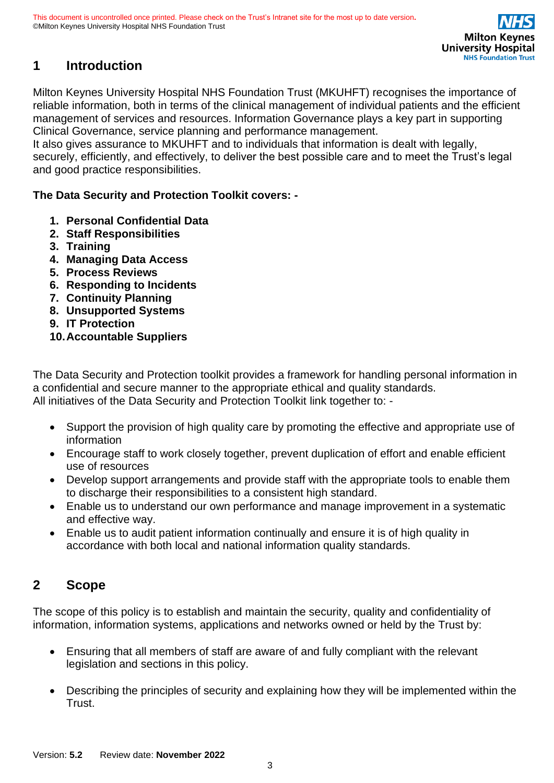# <span id="page-2-0"></span>**1 Introduction**

Milton Keynes University Hospital NHS Foundation Trust (MKUHFT) recognises the importance of reliable information, both in terms of the clinical management of individual patients and the efficient management of services and resources. Information Governance plays a key part in supporting Clinical Governance, service planning and performance management.

It also gives assurance to MKUHFT and to individuals that information is dealt with legally, securely, efficiently, and effectively, to deliver the best possible care and to meet the Trust's legal and good practice responsibilities.

### **The Data Security and Protection Toolkit covers: -**

- **1. Personal Confidential Data**
- **2. Staff Responsibilities**
- **3. Training**
- **4. Managing Data Access**
- **5. Process Reviews**
- **6. Responding to Incidents**
- **7. Continuity Planning**
- **8. Unsupported Systems**
- **9. IT Protection**

### **10.Accountable Suppliers**

The Data Security and Protection toolkit provides a framework for handling personal information in a confidential and secure manner to the appropriate ethical and quality standards. All initiatives of the Data Security and Protection Toolkit link together to: -

- Support the provision of high quality care by promoting the effective and appropriate use of information
- Encourage staff to work closely together, prevent duplication of effort and enable efficient use of resources
- Develop support arrangements and provide staff with the appropriate tools to enable them to discharge their responsibilities to a consistent high standard.
- Enable us to understand our own performance and manage improvement in a systematic and effective way.
- Enable us to audit patient information continually and ensure it is of high quality in accordance with both local and national information quality standards.

### <span id="page-2-1"></span>**2 Scope**

The scope of this policy is to establish and maintain the security, quality and confidentiality of information, information systems, applications and networks owned or held by the Trust by:

- Ensuring that all members of staff are aware of and fully compliant with the relevant legislation and sections in this policy.
- Describing the principles of security and explaining how they will be implemented within the Trust.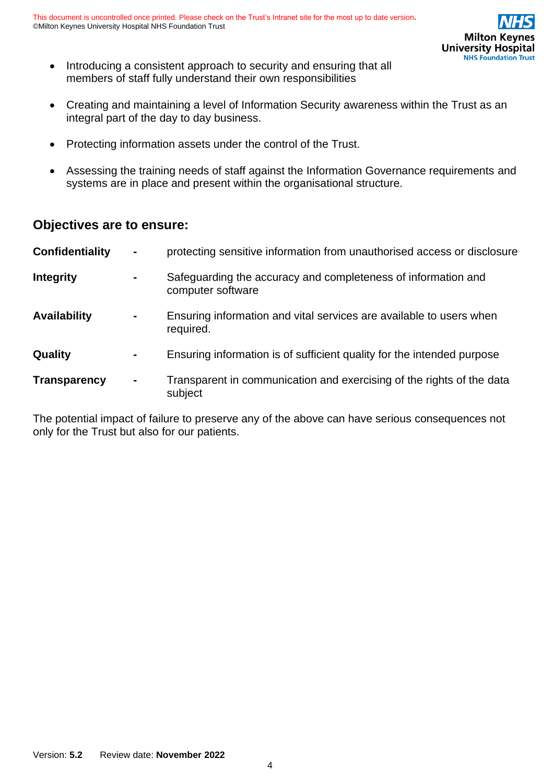

- Introducing a consistent approach to security and ensuring that all members of staff fully understand their own responsibilities
- Creating and maintaining a level of Information Security awareness within the Trust as an integral part of the day to day business.
- Protecting information assets under the control of the Trust.
- Assessing the training needs of staff against the Information Governance requirements and systems are in place and present within the organisational structure.

### **Objectives are to ensure:**

| <b>Confidentiality</b> | $\blacksquare$ | protecting sensitive information from unauthorised access or disclosure            |
|------------------------|----------------|------------------------------------------------------------------------------------|
| <b>Integrity</b>       | $\blacksquare$ | Safeguarding the accuracy and completeness of information and<br>computer software |
| <b>Availability</b>    | $\blacksquare$ | Ensuring information and vital services are available to users when<br>required.   |
| Quality                | -              | Ensuring information is of sufficient quality for the intended purpose             |
| <b>Transparency</b>    | $\blacksquare$ | Transparent in communication and exercising of the rights of the data<br>subject   |

The potential impact of failure to preserve any of the above can have serious consequences not only for the Trust but also for our patients.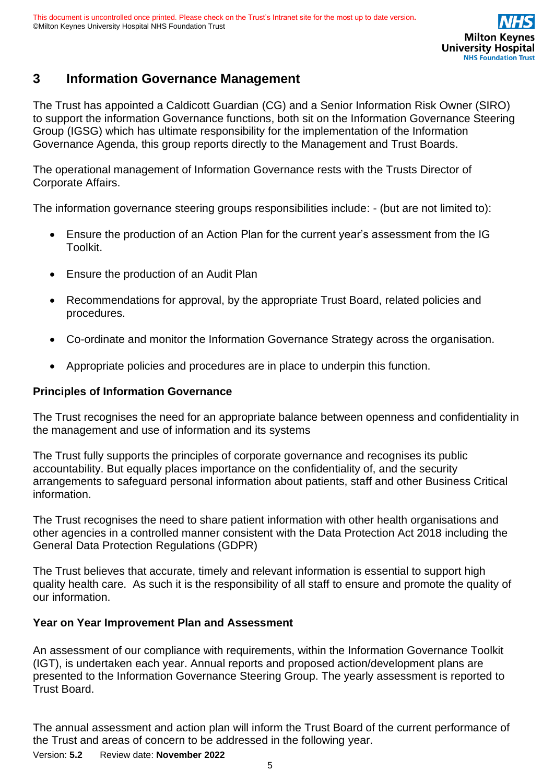# <span id="page-4-0"></span>**3 Information Governance Management**

The Trust has appointed a Caldicott Guardian (CG) and a Senior Information Risk Owner (SIRO) to support the information Governance functions, both sit on the Information Governance Steering Group (IGSG) which has ultimate responsibility for the implementation of the Information Governance Agenda, this group reports directly to the Management and Trust Boards.

The operational management of Information Governance rests with the Trusts Director of Corporate Affairs.

The information governance steering groups responsibilities include: - (but are not limited to):

- Ensure the production of an Action Plan for the current year's assessment from the IG Toolkit.
- Ensure the production of an Audit Plan
- Recommendations for approval, by the appropriate Trust Board, related policies and procedures.
- Co-ordinate and monitor the Information Governance Strategy across the organisation.
- Appropriate policies and procedures are in place to underpin this function.

#### **Principles of Information Governance**

The Trust recognises the need for an appropriate balance between openness and confidentiality in the management and use of information and its systems

The Trust fully supports the principles of corporate governance and recognises its public accountability. But equally places importance on the confidentiality of, and the security arrangements to safeguard personal information about patients, staff and other Business Critical information.

The Trust recognises the need to share patient information with other health organisations and other agencies in a controlled manner consistent with the Data Protection Act 2018 including the General Data Protection Regulations (GDPR)

The Trust believes that accurate, timely and relevant information is essential to support high quality health care. As such it is the responsibility of all staff to ensure and promote the quality of our information.

#### **Year on Year Improvement Plan and Assessment**

An assessment of our compliance with requirements, within the Information Governance Toolkit (IGT), is undertaken each year. Annual reports and proposed action/development plans are presented to the Information Governance Steering Group. The yearly assessment is reported to Trust Board.

The annual assessment and action plan will inform the Trust Board of the current performance of the Trust and areas of concern to be addressed in the following year.

Version: **5.2** Review date: **November 2022**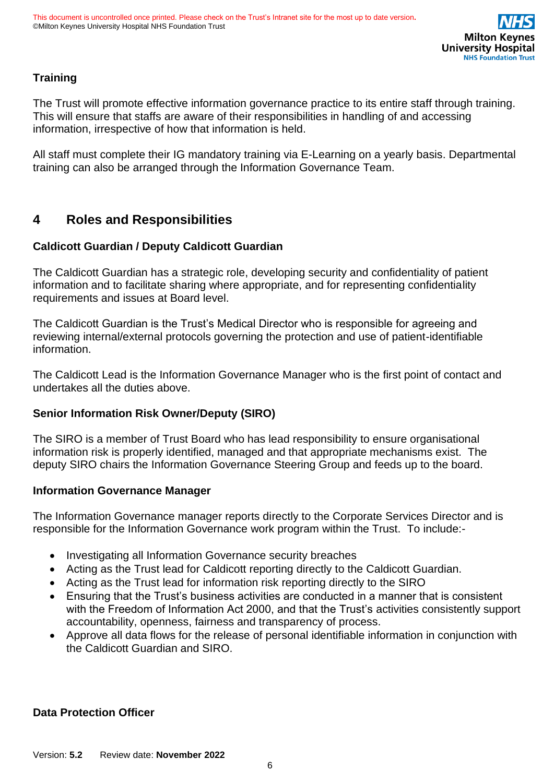

### **Training**

The Trust will promote effective information governance practice to its entire staff through training. This will ensure that staffs are aware of their responsibilities in handling of and accessing information, irrespective of how that information is held.

All staff must complete their IG mandatory training via E-Learning on a yearly basis. Departmental training can also be arranged through the Information Governance Team.

# <span id="page-5-0"></span>**4 Roles and Responsibilities**

### **Caldicott Guardian / Deputy Caldicott Guardian**

The Caldicott Guardian has a strategic role, developing security and confidentiality of patient information and to facilitate sharing where appropriate, and for representing confidentiality requirements and issues at Board level.

The Caldicott Guardian is the Trust's Medical Director who is responsible for agreeing and reviewing internal/external protocols governing the protection and use of patient-identifiable information.

The Caldicott Lead is the Information Governance Manager who is the first point of contact and undertakes all the duties above.

### **Senior Information Risk Owner/Deputy (SIRO)**

The SIRO is a member of Trust Board who has lead responsibility to ensure organisational information risk is properly identified, managed and that appropriate mechanisms exist. The deputy SIRO chairs the Information Governance Steering Group and feeds up to the board.

#### **Information Governance Manager**

The Information Governance manager reports directly to the Corporate Services Director and is responsible for the Information Governance work program within the Trust. To include:-

- Investigating all Information Governance security breaches
- Acting as the Trust lead for Caldicott reporting directly to the Caldicott Guardian.
- Acting as the Trust lead for information risk reporting directly to the SIRO
- Ensuring that the Trust's business activities are conducted in a manner that is consistent with the Freedom of Information Act 2000, and that the Trust's activities consistently support accountability, openness, fairness and transparency of process.
- Approve all data flows for the release of personal identifiable information in conjunction with the Caldicott Guardian and SIRO.

#### **Data Protection Officer**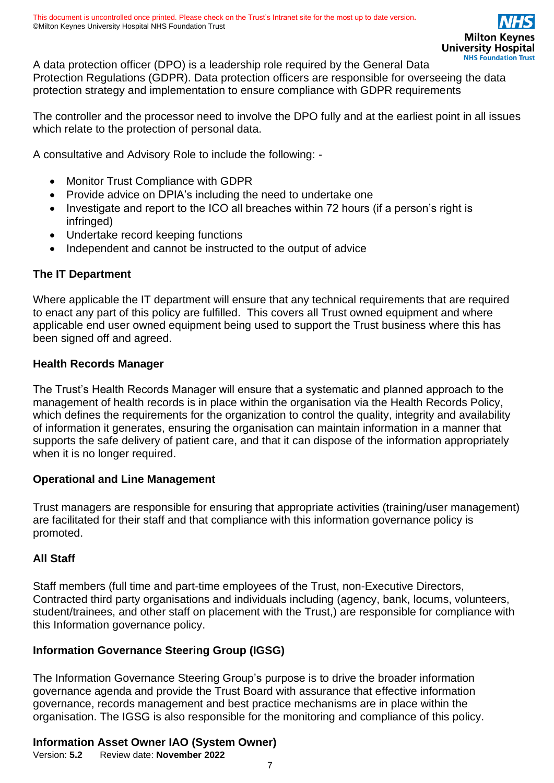A data protection officer (DPO) is a leadership role required by the General Data Protection Regulations (GDPR). Data protection officers are responsible for overseeing the data protection strategy and implementation to ensure compliance with GDPR requirements

The controller and the processor need to involve the DPO fully and at the earliest point in all issues which relate to the protection of personal data.

A consultative and Advisory Role to include the following: -

- Monitor Trust Compliance with GDPR
- Provide advice on DPIA's including the need to undertake one
- Investigate and report to the ICO all breaches within 72 hours (if a person's right is infringed)
- Undertake record keeping functions
- Independent and cannot be instructed to the output of advice

#### **The IT Department**

Where applicable the IT department will ensure that any technical requirements that are required to enact any part of this policy are fulfilled. This covers all Trust owned equipment and where applicable end user owned equipment being used to support the Trust business where this has been signed off and agreed.

#### **Health Records Manager**

The Trust's Health Records Manager will ensure that a systematic and planned approach to the management of health records is in place within the organisation via the Health Records Policy, which defines the requirements for the organization to control the quality, integrity and availability of information it generates, ensuring the organisation can maintain information in a manner that supports the safe delivery of patient care, and that it can dispose of the information appropriately when it is no longer required.

#### **Operational and Line Management**

Trust managers are responsible for ensuring that appropriate activities (training/user management) are facilitated for their staff and that compliance with this information governance policy is promoted.

#### **All Staff**

Staff members (full time and part-time employees of the Trust, non-Executive Directors, Contracted third party organisations and individuals including (agency, bank, locums, volunteers, student/trainees, and other staff on placement with the Trust,) are responsible for compliance with this Information governance policy.

#### **Information Governance Steering Group (IGSG)**

The Information Governance Steering Group's purpose is to drive the broader information governance agenda and provide the Trust Board with assurance that effective information governance, records management and best practice mechanisms are in place within the organisation. The IGSG is also responsible for the monitoring and compliance of this policy.

#### **Information Asset Owner IAO (System Owner)**

Version: **5.2** Review date: **November 2022**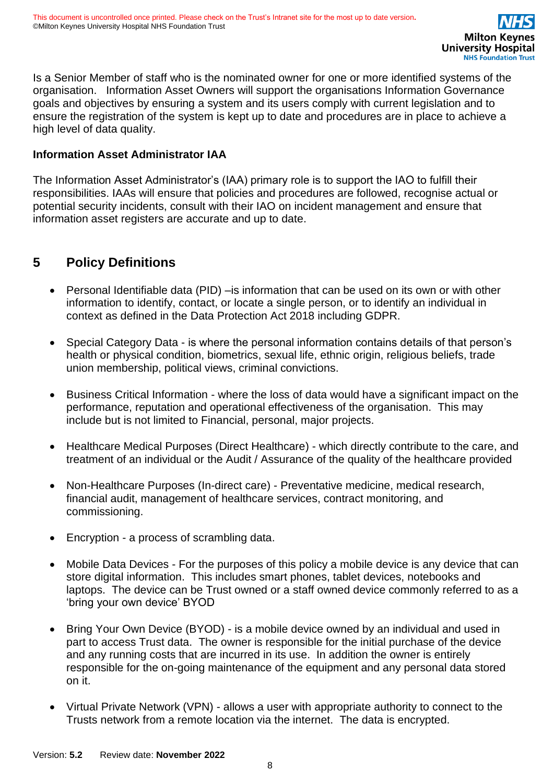Is a Senior Member of staff who is the nominated owner for one or more identified systems of the organisation. Information Asset Owners will support the organisations Information Governance goals and objectives by ensuring a system and its users comply with current legislation and to ensure the registration of the system is kept up to date and procedures are in place to achieve a high level of data quality.

#### **Information Asset Administrator IAA**

The Information Asset Administrator's (IAA) primary role is to support the IAO to fulfill their responsibilities. IAAs will ensure that policies and procedures are followed, recognise actual or potential security incidents, consult with their IAO on incident management and ensure that information asset registers are accurate and up to date.

## <span id="page-7-0"></span>**5 Policy Definitions**

- Personal Identifiable data (PID) –is information that can be used on its own or with other information to identify, contact, or locate a single person, or to identify an individual in context as defined in the Data Protection Act 2018 including GDPR.
- Special Category Data is where the personal information contains details of that person's health or physical condition, biometrics, sexual life, ethnic origin, religious beliefs, trade union membership, political views, criminal convictions.
- Business Critical Information where the loss of data would have a significant impact on the performance, reputation and operational effectiveness of the organisation. This may include but is not limited to Financial, personal, major projects.
- Healthcare Medical Purposes (Direct Healthcare) which directly contribute to the care, and treatment of an individual or the Audit / Assurance of the quality of the healthcare provided
- Non-Healthcare Purposes (In-direct care) Preventative medicine, medical research, financial audit, management of healthcare services, contract monitoring, and commissioning.
- Encryption a process of scrambling data.
- Mobile Data Devices For the purposes of this policy a mobile device is any device that can store digital information. This includes smart phones, tablet devices, notebooks and laptops. The device can be Trust owned or a staff owned device commonly referred to as a 'bring your own device' BYOD
- Bring Your Own Device (BYOD) is a mobile device owned by an individual and used in part to access Trust data. The owner is responsible for the initial purchase of the device and any running costs that are incurred in its use. In addition the owner is entirely responsible for the on-going maintenance of the equipment and any personal data stored on it.
- Virtual Private Network (VPN) allows a user with appropriate authority to connect to the Trusts network from a remote location via the internet. The data is encrypted.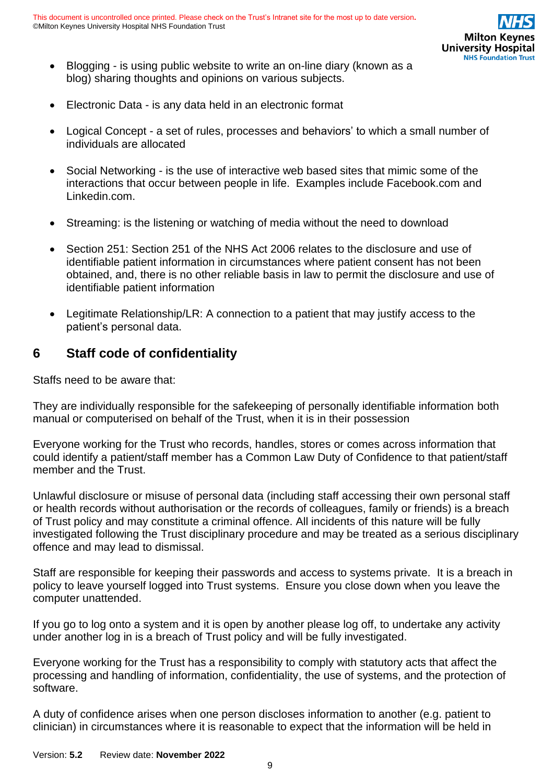- Blogging is using public website to write an on-line diary (known as a blog) sharing thoughts and opinions on various subjects.
- Electronic Data is any data held in an electronic format
- Logical Concept a set of rules, processes and behaviors' to which a small number of individuals are allocated
- Social Networking is the use of interactive web based sites that mimic some of the interactions that occur between people in life. Examples include Facebook.com and Linkedin.com.
- Streaming: is the listening or watching of media without the need to download
- Section 251: Section 251 of the NHS Act 2006 relates to the disclosure and use of identifiable patient information in circumstances where patient consent has not been obtained, and, there is no other reliable basis in law to permit the disclosure and use of identifiable patient information
- Legitimate Relationship/LR: A connection to a patient that may justify access to the patient's personal data.

# <span id="page-8-0"></span>**6 Staff code of confidentiality**

Staffs need to be aware that:

They are individually responsible for the safekeeping of personally identifiable information both manual or computerised on behalf of the Trust, when it is in their possession

Everyone working for the Trust who records, handles, stores or comes across information that could identify a patient/staff member has a Common Law Duty of Confidence to that patient/staff member and the Trust.

Unlawful disclosure or misuse of personal data (including staff accessing their own personal staff or health records without authorisation or the records of colleagues, family or friends) is a breach of Trust policy and may constitute a criminal offence. All incidents of this nature will be fully investigated following the Trust disciplinary procedure and may be treated as a serious disciplinary offence and may lead to dismissal.

Staff are responsible for keeping their passwords and access to systems private. It is a breach in policy to leave yourself logged into Trust systems. Ensure you close down when you leave the computer unattended.

If you go to log onto a system and it is open by another please log off, to undertake any activity under another log in is a breach of Trust policy and will be fully investigated.

Everyone working for the Trust has a responsibility to comply with statutory acts that affect the processing and handling of information, confidentiality, the use of systems, and the protection of software.

A duty of confidence arises when one person discloses information to another (e.g. patient to clinician) in circumstances where it is reasonable to expect that the information will be held in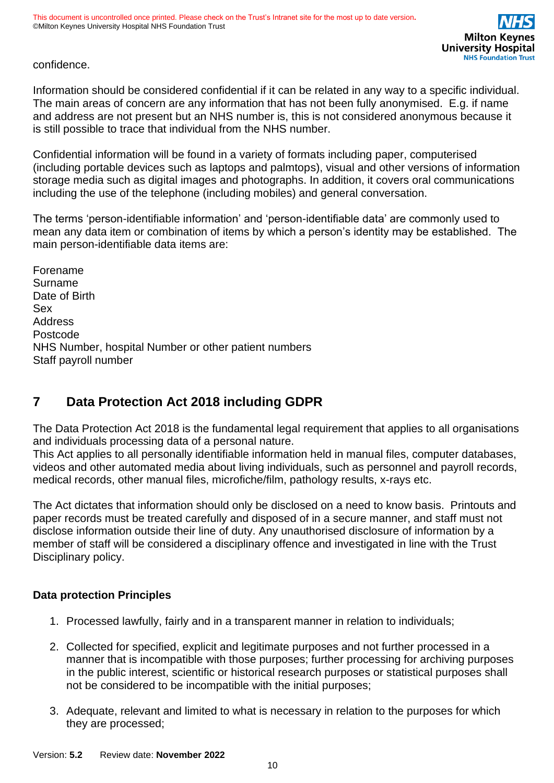### confidence.

Information should be considered confidential if it can be related in any way to a specific individual. The main areas of concern are any information that has not been fully anonymised. E.g. if name and address are not present but an NHS number is, this is not considered anonymous because it is still possible to trace that individual from the NHS number.

Confidential information will be found in a variety of formats including paper, computerised (including portable devices such as laptops and palmtops), visual and other versions of information storage media such as digital images and photographs. In addition, it covers oral communications including the use of the telephone (including mobiles) and general conversation.

The terms 'person-identifiable information' and 'person-identifiable data' are commonly used to mean any data item or combination of items by which a person's identity may be established. The main person-identifiable data items are:

Forename Surname Date of Birth Sex Address Postcode NHS Number, hospital Number or other patient numbers Staff payroll number

# <span id="page-9-0"></span>**7 Data Protection Act 2018 including GDPR**

The Data Protection Act 2018 is the fundamental legal requirement that applies to all organisations and individuals processing data of a personal nature.

This Act applies to all personally identifiable information held in manual files, computer databases, videos and other automated media about living individuals, such as personnel and payroll records, medical records, other manual files, microfiche/film, pathology results, x-rays etc.

The Act dictates that information should only be disclosed on a need to know basis. Printouts and paper records must be treated carefully and disposed of in a secure manner, and staff must not disclose information outside their line of duty. Any unauthorised disclosure of information by a member of staff will be considered a disciplinary offence and investigated in line with the Trust Disciplinary policy.

### **Data protection Principles**

- 1. Processed lawfully, fairly and in a transparent manner in relation to individuals;
- 2. Collected for specified, explicit and legitimate purposes and not further processed in a manner that is incompatible with those purposes; further processing for archiving purposes in the public interest, scientific or historical research purposes or statistical purposes shall not be considered to be incompatible with the initial purposes;
- 3. Adequate, relevant and limited to what is necessary in relation to the purposes for which they are processed;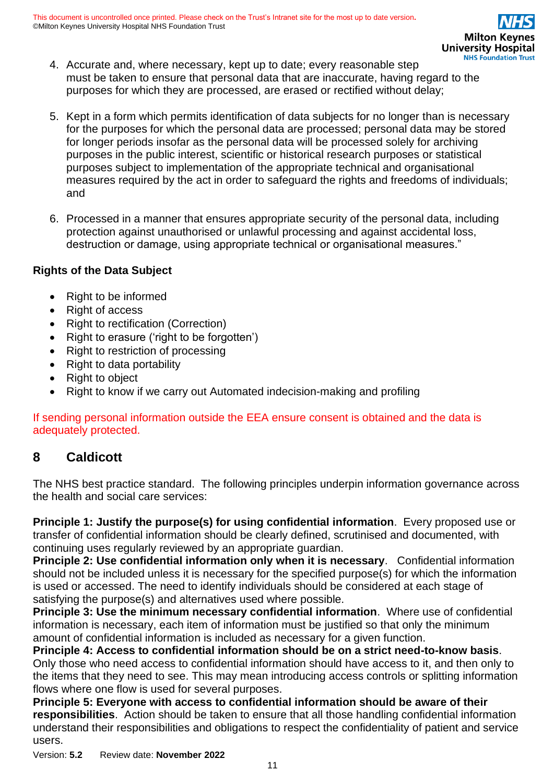- 4. Accurate and, where necessary, kept up to date; every reasonable step must be taken to ensure that personal data that are inaccurate, having regard to the purposes for which they are processed, are erased or rectified without delay;
- 5. Kept in a form which permits identification of data subjects for no longer than is necessary for the purposes for which the personal data are processed; personal data may be stored for longer periods insofar as the personal data will be processed solely for archiving purposes in the public interest, scientific or historical research purposes or statistical purposes subject to implementation of the appropriate technical and organisational measures required by the act in order to safeguard the rights and freedoms of individuals; and
- 6. Processed in a manner that ensures appropriate security of the personal data, including protection against unauthorised or unlawful processing and against accidental loss, destruction or damage, using appropriate technical or organisational measures."

### **Rights of the Data Subject**

- Right to be informed
- Right of access
- Right to rectification (Correction)
- Right to erasure ('right to be forgotten')
- Right to restriction of processing
- Right to data portability
- Right to object
- Right to know if we carry out Automated indecision-making and profiling

If sending personal information outside the EEA ensure consent is obtained and the data is adequately protected.

### <span id="page-10-0"></span>**8 Caldicott**

The NHS best practice standard. The following principles underpin information governance across the health and social care services:

**Principle 1: Justify the purpose(s) for using confidential information**. Every proposed use or transfer of confidential information should be clearly defined, scrutinised and documented, with continuing uses regularly reviewed by an appropriate guardian.

**Principle 2: Use confidential information only when it is necessary**. Confidential information should not be included unless it is necessary for the specified purpose(s) for which the information is used or accessed. The need to identify individuals should be considered at each stage of satisfying the purpose(s) and alternatives used where possible.

**Principle 3: Use the minimum necessary confidential information**. Where use of confidential information is necessary, each item of information must be justified so that only the minimum amount of confidential information is included as necessary for a given function.

**Principle 4: Access to confidential information should be on a strict need-to-know basis**. Only those who need access to confidential information should have access to it, and then only to the items that they need to see. This may mean introducing access controls or splitting information flows where one flow is used for several purposes.

**Principle 5: Everyone with access to confidential information should be aware of their responsibilities**. Action should be taken to ensure that all those handling confidential information understand their responsibilities and obligations to respect the confidentiality of patient and service users.

Version: **5.2** Review date: **November 2022**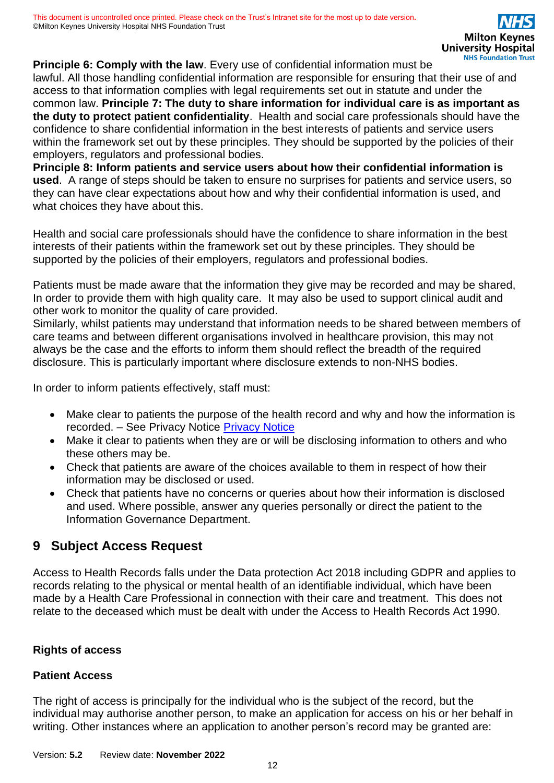**Principle 6: Comply with the law**. Every use of confidential information must be lawful. All those handling confidential information are responsible for ensuring that their use of and access to that information complies with legal requirements set out in statute and under the common law. **Principle 7: The duty to share information for individual care is as important as the duty to protect patient confidentiality**. Health and social care professionals should have the confidence to share confidential information in the best interests of patients and service users within the framework set out by these principles. They should be supported by the policies of their employers, regulators and professional bodies.

**Principle 8: Inform patients and service users about how their confidential information is used**. A range of steps should be taken to ensure no surprises for patients and service users, so they can have clear expectations about how and why their confidential information is used, and what choices they have about this.

Health and social care professionals should have the confidence to share information in the best interests of their patients within the framework set out by these principles. They should be supported by the policies of their employers, regulators and professional bodies.

Patients must be made aware that the information they give may be recorded and may be shared, In order to provide them with high quality care. It may also be used to support clinical audit and other work to monitor the quality of care provided.

Similarly, whilst patients may understand that information needs to be shared between members of care teams and between different organisations involved in healthcare provision, this may not always be the case and the efforts to inform them should reflect the breadth of the required disclosure. This is particularly important where disclosure extends to non-NHS bodies.

In order to inform patients effectively, staff must:

- Make clear to patients the purpose of the health record and why and how the information is recorded. – See Privacy Notice [Privacy Notice](https://www.mkuh.nhs.uk/wp-content/uploads/2018/10/Privacy-Notice-in-full.pdf)
- Make it clear to patients when they are or will be disclosing information to others and who these others may be.
- Check that patients are aware of the choices available to them in respect of how their information may be disclosed or used.
- Check that patients have no concerns or queries about how their information is disclosed and used. Where possible, answer any queries personally or direct the patient to the Information Governance Department.

# <span id="page-11-0"></span>**9 Subject Access Request**

Access to Health Records falls under the Data protection Act 2018 including GDPR and applies to records relating to the physical or mental health of an identifiable individual, which have been made by a Health Care Professional in connection with their care and treatment. This does not relate to the deceased which must be dealt with under the Access to Health Records Act 1990.

### **Rights of access**

### **Patient Access**

The right of access is principally for the individual who is the subject of the record, but the individual may authorise another person, to make an application for access on his or her behalf in writing. Other instances where an application to another person's record may be granted are: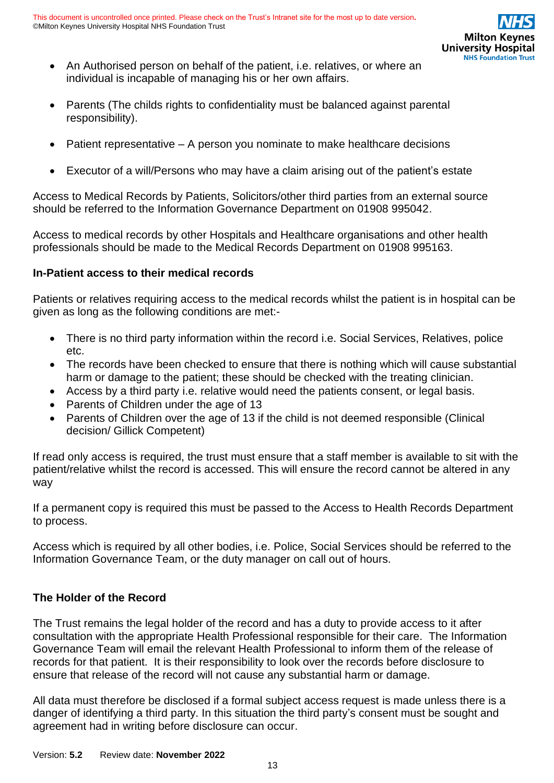

- An Authorised person on behalf of the patient, i.e. relatives, or where an individual is incapable of managing his or her own affairs.
- Parents (The childs rights to confidentiality must be balanced against parental responsibility).
- Patient representative A person you nominate to make healthcare decisions
- Executor of a will/Persons who may have a claim arising out of the patient's estate

Access to Medical Records by Patients, Solicitors/other third parties from an external source should be referred to the Information Governance Department on 01908 995042.

Access to medical records by other Hospitals and Healthcare organisations and other health professionals should be made to the Medical Records Department on 01908 995163.

#### **In-Patient access to their medical records**

Patients or relatives requiring access to the medical records whilst the patient is in hospital can be given as long as the following conditions are met:-

- There is no third party information within the record i.e. Social Services, Relatives, police etc.
- The records have been checked to ensure that there is nothing which will cause substantial harm or damage to the patient; these should be checked with the treating clinician.
- Access by a third party i.e. relative would need the patients consent, or legal basis.
- Parents of Children under the age of 13
- Parents of Children over the age of 13 if the child is not deemed responsible (Clinical decision/ Gillick Competent)

If read only access is required, the trust must ensure that a staff member is available to sit with the patient/relative whilst the record is accessed. This will ensure the record cannot be altered in any way

If a permanent copy is required this must be passed to the Access to Health Records Department to process.

Access which is required by all other bodies, i.e. Police, Social Services should be referred to the Information Governance Team, or the duty manager on call out of hours.

#### **The Holder of the Record**

The Trust remains the legal holder of the record and has a duty to provide access to it after consultation with the appropriate Health Professional responsible for their care. The Information Governance Team will email the relevant Health Professional to inform them of the release of records for that patient. It is their responsibility to look over the records before disclosure to ensure that release of the record will not cause any substantial harm or damage.

All data must therefore be disclosed if a formal subject access request is made unless there is a danger of identifying a third party. In this situation the third party's consent must be sought and agreement had in writing before disclosure can occur.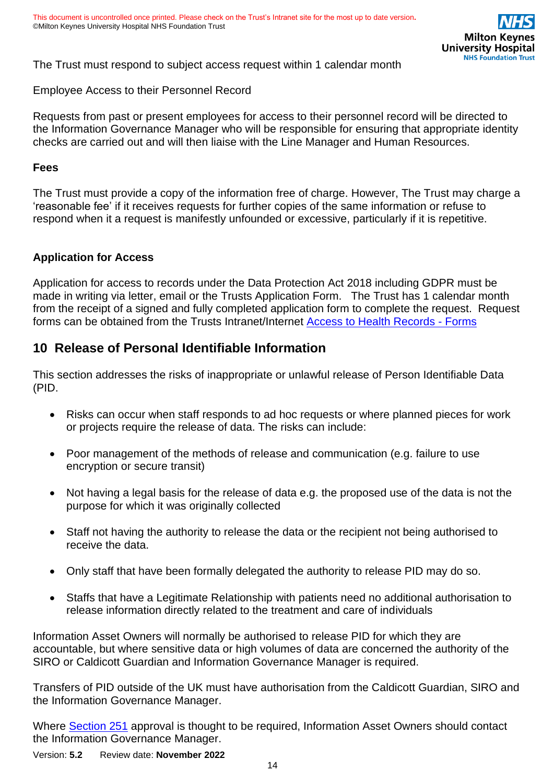The Trust must respond to subject access request within 1 calendar month

Employee Access to their Personnel Record

Requests from past or present employees for access to their personnel record will be directed to the Information Governance Manager who will be responsible for ensuring that appropriate identity checks are carried out and will then liaise with the Line Manager and Human Resources.

#### **Fees**

The Trust must provide a copy of the information free of charge. However, The Trust may charge a 'reasonable fee' if it receives requests for further copies of the same information or refuse to respond when it a request is manifestly unfounded or excessive, particularly if it is repetitive.

#### **Application for Access**

Application for access to records under the Data Protection Act 2018 including GDPR must be made in writing via letter, email or the Trusts Application Form. The Trust has 1 calendar month from the receipt of a signed and fully completed application form to complete the request. Request forms can be obtained from the Trusts Intranet/Internet [Access to Health Records -](https://intranet.mkuh.nhs.uk/information-governance/access-to-health-records) Forms

### <span id="page-13-0"></span>**10 Release of Personal Identifiable Information**

This section addresses the risks of inappropriate or unlawful release of Person Identifiable Data (PID.

- Risks can occur when staff responds to ad hoc requests or where planned pieces for work or projects require the release of data. The risks can include:
- Poor management of the methods of release and communication (e.g. failure to use encryption or secure transit)
- Not having a legal basis for the release of data e.g. the proposed use of the data is not the purpose for which it was originally collected
- Staff not having the authority to release the data or the recipient not being authorised to receive the data.
- Only staff that have been formally delegated the authority to release PID may do so.
- Staffs that have a Legitimate Relationship with patients need no additional authorisation to release information directly related to the treatment and care of individuals

Information Asset Owners will normally be authorised to release PID for which they are accountable, but where sensitive data or high volumes of data are concerned the authority of the SIRO or Caldicott Guardian and Information Governance Manager is required.

Transfers of PID outside of the UK must have authorisation from the Caldicott Guardian, SIRO and the Information Governance Manager.

Where [Section 251](http://www.hra.nhs.uk/about-the-hra/our-committees/section-251/what-is-section-251/) approval is thought to be required, Information Asset Owners should contact the Information Governance Manager.

Version: **5.2** Review date: **November 2022**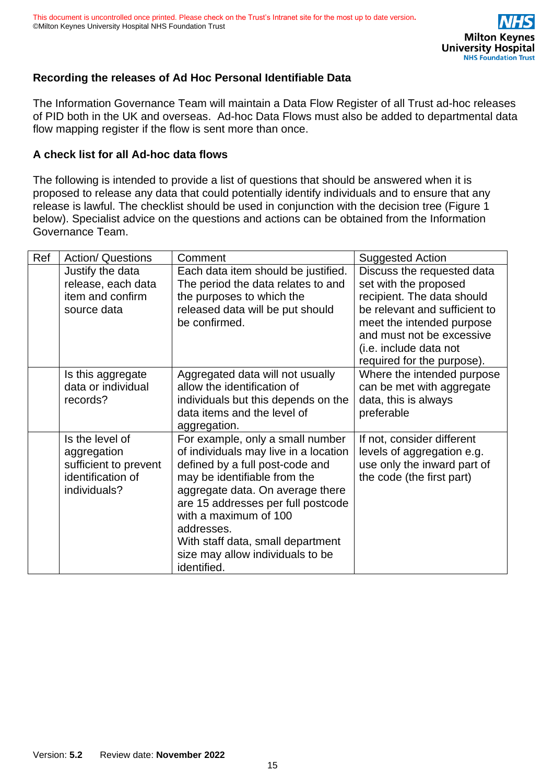

### **Recording the releases of Ad Hoc Personal Identifiable Data**

The Information Governance Team will maintain a Data Flow Register of all Trust ad-hoc releases of PID both in the UK and overseas. Ad-hoc Data Flows must also be added to departmental data flow mapping register if the flow is sent more than once.

#### **A check list for all Ad-hoc data flows**

The following is intended to provide a list of questions that should be answered when it is proposed to release any data that could potentially identify individuals and to ensure that any release is lawful. The checklist should be used in conjunction with the decision tree (Figure 1 below). Specialist advice on the questions and actions can be obtained from the Information Governance Team.

| Ref | <b>Action/ Questions</b>                                                                     | Comment                                                                                                                                                                                                                                                                                                                                               | <b>Suggested Action</b>                                                                                                                                                                                                              |
|-----|----------------------------------------------------------------------------------------------|-------------------------------------------------------------------------------------------------------------------------------------------------------------------------------------------------------------------------------------------------------------------------------------------------------------------------------------------------------|--------------------------------------------------------------------------------------------------------------------------------------------------------------------------------------------------------------------------------------|
|     | Justify the data<br>release, each data<br>item and confirm<br>source data                    | Each data item should be justified.<br>The period the data relates to and<br>the purposes to which the<br>released data will be put should<br>be confirmed.                                                                                                                                                                                           | Discuss the requested data<br>set with the proposed<br>recipient. The data should<br>be relevant and sufficient to<br>meet the intended purpose<br>and must not be excessive<br>(i.e. include data not<br>required for the purpose). |
|     | Is this aggregate<br>data or individual<br>records?                                          | Aggregated data will not usually<br>allow the identification of<br>individuals but this depends on the<br>data items and the level of<br>aggregation.                                                                                                                                                                                                 | Where the intended purpose<br>can be met with aggregate<br>data, this is always<br>preferable                                                                                                                                        |
|     | Is the level of<br>aggregation<br>sufficient to prevent<br>identification of<br>individuals? | For example, only a small number<br>of individuals may live in a location<br>defined by a full post-code and<br>may be identifiable from the<br>aggregate data. On average there<br>are 15 addresses per full postcode<br>with a maximum of 100<br>addresses.<br>With staff data, small department<br>size may allow individuals to be<br>identified. | If not, consider different<br>levels of aggregation e.g.<br>use only the inward part of<br>the code (the first part)                                                                                                                 |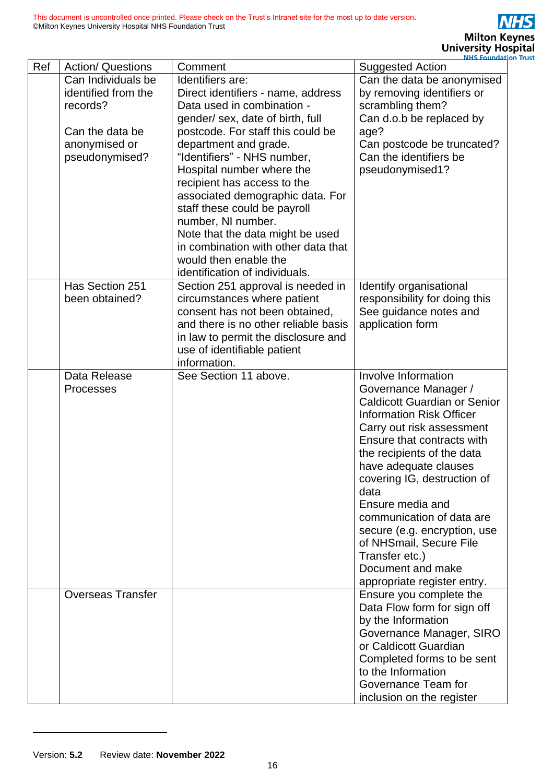|     |                          |                                      | <b>NHS Foundation</b>               |
|-----|--------------------------|--------------------------------------|-------------------------------------|
| Ref | <b>Action/ Questions</b> | Comment                              | <b>Suggested Action</b>             |
|     | Can Individuals be       | Identifiers are:                     | Can the data be anonymised          |
|     | identified from the      | Direct identifiers - name, address   | by removing identifiers or          |
|     | records?                 | Data used in combination -           | scrambling them?                    |
|     |                          | gender/ sex, date of birth, full     | Can d.o.b be replaced by            |
|     | Can the data be          | postcode. For staff this could be    | age?                                |
|     | anonymised or            | department and grade.                | Can postcode be truncated?          |
|     |                          | "Identifiers" - NHS number,          | Can the identifiers be              |
|     | pseudonymised?           | Hospital number where the            |                                     |
|     |                          |                                      | pseudonymised1?                     |
|     |                          | recipient has access to the          |                                     |
|     |                          | associated demographic data. For     |                                     |
|     |                          | staff these could be payroll         |                                     |
|     |                          | number, NI number.                   |                                     |
|     |                          | Note that the data might be used     |                                     |
|     |                          | in combination with other data that  |                                     |
|     |                          | would then enable the                |                                     |
|     |                          | identification of individuals.       |                                     |
|     | Has Section 251          | Section 251 approval is needed in    | Identify organisational             |
|     | been obtained?           | circumstances where patient          | responsibility for doing this       |
|     |                          | consent has not been obtained,       | See guidance notes and              |
|     |                          | and there is no other reliable basis | application form                    |
|     |                          | in law to permit the disclosure and  |                                     |
|     |                          | use of identifiable patient          |                                     |
|     |                          | information.                         |                                     |
|     | Data Release             | See Section 11 above.                | Involve Information                 |
|     | <b>Processes</b>         |                                      | Governance Manager /                |
|     |                          |                                      | <b>Caldicott Guardian or Senior</b> |
|     |                          |                                      | <b>Information Risk Officer</b>     |
|     |                          |                                      | Carry out risk assessment           |
|     |                          |                                      | Ensure that contracts with          |
|     |                          |                                      | the recipients of the data          |
|     |                          |                                      | have adequate clauses               |
|     |                          |                                      |                                     |
|     |                          |                                      | covering IG, destruction of<br>data |
|     |                          |                                      |                                     |
|     |                          |                                      | Ensure media and                    |
|     |                          |                                      | communication of data are           |
|     |                          |                                      | secure (e.g. encryption, use        |
|     |                          |                                      | of NHSmail, Secure File             |
|     |                          |                                      | Transfer etc.)                      |
|     |                          |                                      | Document and make                   |
|     |                          |                                      | appropriate register entry.         |
|     | <b>Overseas Transfer</b> |                                      | Ensure you complete the             |
|     |                          |                                      | Data Flow form for sign off         |
|     |                          |                                      | by the Information                  |
|     |                          |                                      | Governance Manager, SIRO            |
|     |                          |                                      | or Caldicott Guardian               |
|     |                          |                                      | Completed forms to be sent          |
|     |                          |                                      | to the Information                  |
|     |                          |                                      | Governance Team for                 |
|     |                          |                                      | inclusion on the register           |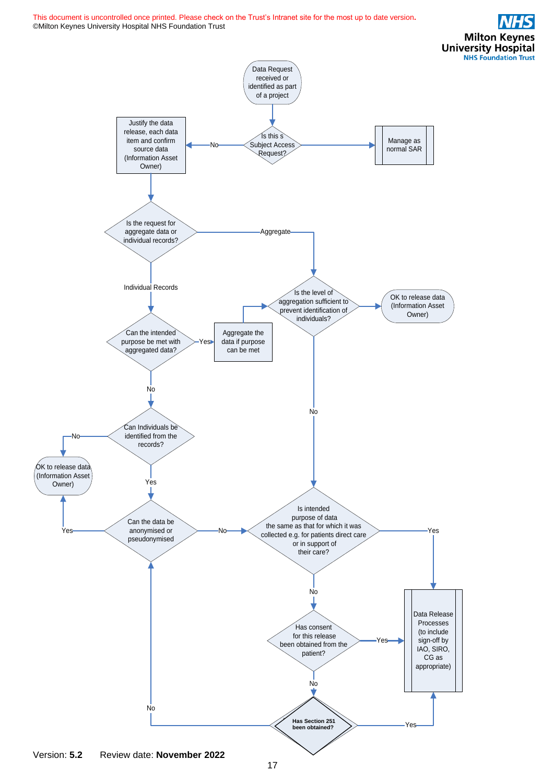**Milton Keynes University Hospital NHS Foundation Trust** 



Version: **5.2** Review date: **November 2022**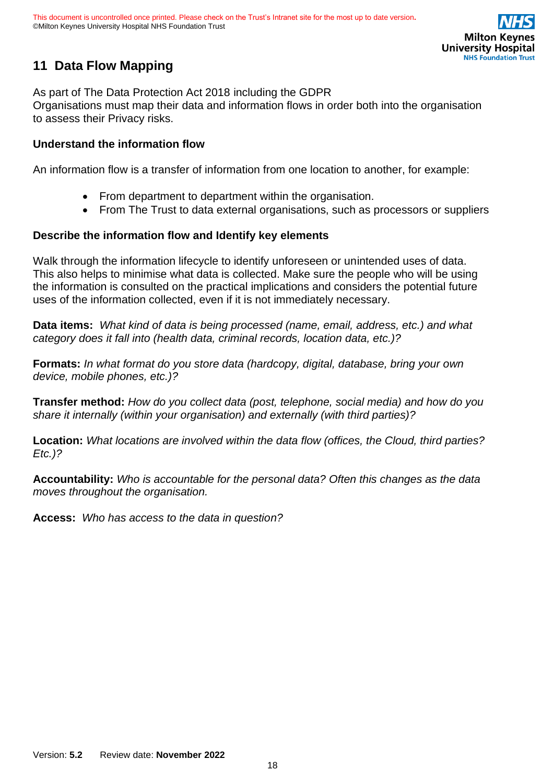

# <span id="page-17-0"></span>**11 Data Flow Mapping**

As part of The Data Protection Act 2018 including the GDPR Organisations must map their data and information flows in order both into the organisation to assess their Privacy risks.

#### **Understand the information flow**

An information flow is a transfer of information from one location to another, for example:

- From department to department within the organisation.
- From The Trust to data external organisations, such as processors or suppliers

#### **Describe the information flow and Identify key elements**

Walk through the information lifecycle to identify unforeseen or unintended uses of data. This also helps to minimise what data is collected. Make sure the people who will be using the information is consulted on the practical implications and considers the potential future uses of the information collected, even if it is not immediately necessary.

**Data items:** *What kind of data is being processed (name, email, address, etc.) and what category does it fall into (health data, criminal records, location data, etc.)?*

**Formats:** *In what format do you store data (hardcopy, digital, database, bring your own device, mobile phones, etc.)?* 

**Transfer method:** *How do you collect data (post, telephone, social media) and how do you share it internally (within your organisation) and externally (with third parties)?*

**Location:** *What locations are involved within the data flow (offices, the Cloud, third parties? Etc.)?*

**Accountability:** *Who is accountable for the personal data? Often this changes as the data moves throughout the organisation.*

**Access:** *Who has access to the data in question?*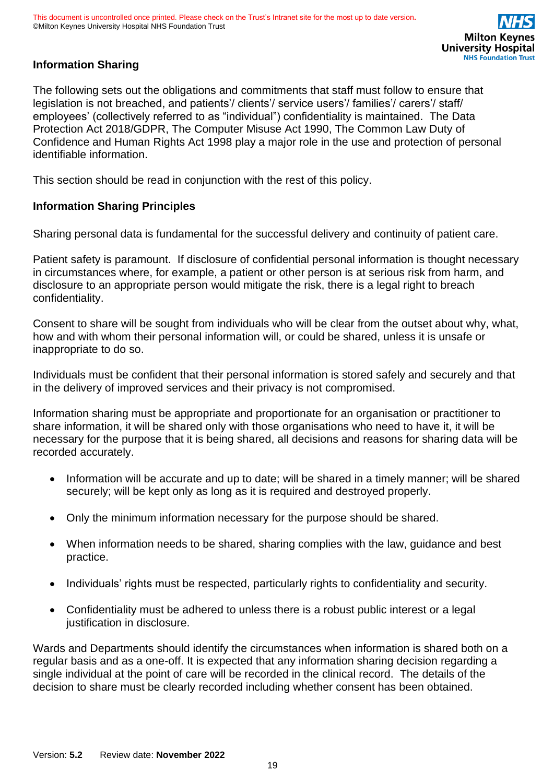

### **Information Sharing**

The following sets out the obligations and commitments that staff must follow to ensure that legislation is not breached, and patients'/ clients'/ service users'/ families'/ carers'/ staff/ employees' (collectively referred to as "individual") confidentiality is maintained. The Data Protection Act 2018/GDPR, The Computer Misuse Act 1990, The Common Law Duty of Confidence and Human Rights Act 1998 play a major role in the use and protection of personal identifiable information.

This section should be read in conjunction with the rest of this policy.

#### **Information Sharing Principles**

Sharing personal data is fundamental for the successful delivery and continuity of patient care.

Patient safety is paramount. If disclosure of confidential personal information is thought necessary in circumstances where, for example, a patient or other person is at serious risk from harm, and disclosure to an appropriate person would mitigate the risk, there is a legal right to breach confidentiality.

Consent to share will be sought from individuals who will be clear from the outset about why, what, how and with whom their personal information will, or could be shared, unless it is unsafe or inappropriate to do so.

Individuals must be confident that their personal information is stored safely and securely and that in the delivery of improved services and their privacy is not compromised.

Information sharing must be appropriate and proportionate for an organisation or practitioner to share information, it will be shared only with those organisations who need to have it, it will be necessary for the purpose that it is being shared, all decisions and reasons for sharing data will be recorded accurately.

- Information will be accurate and up to date; will be shared in a timely manner; will be shared securely; will be kept only as long as it is required and destroyed properly.
- Only the minimum information necessary for the purpose should be shared.
- When information needs to be shared, sharing complies with the law, guidance and best practice.
- Individuals' rights must be respected, particularly rights to confidentiality and security.
- Confidentiality must be adhered to unless there is a robust public interest or a legal justification in disclosure.

Wards and Departments should identify the circumstances when information is shared both on a regular basis and as a one-off. It is expected that any information sharing decision regarding a single individual at the point of care will be recorded in the clinical record. The details of the decision to share must be clearly recorded including whether consent has been obtained.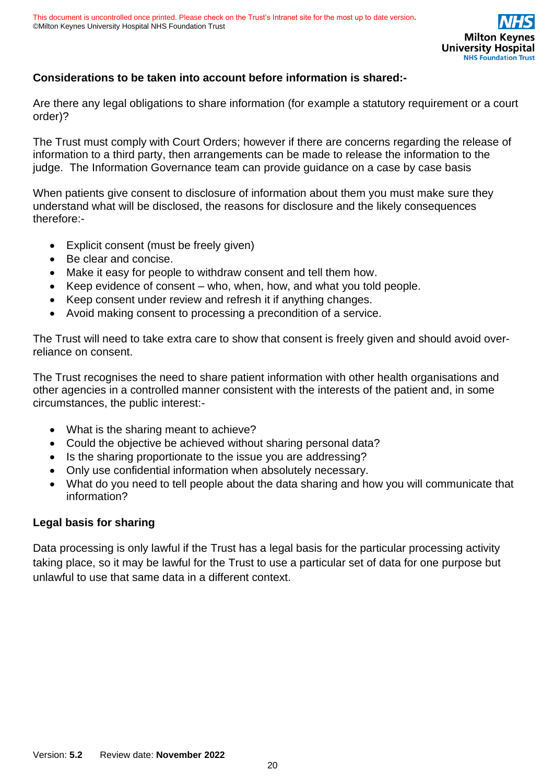### **Considerations to be taken into account before information is shared:-**

Are there any legal obligations to share information (for example a statutory requirement or a court order)?

The Trust must comply with Court Orders; however if there are concerns regarding the release of information to a third party, then arrangements can be made to release the information to the judge. The Information Governance team can provide guidance on a case by case basis

When patients give consent to disclosure of information about them you must make sure they understand what will be disclosed, the reasons for disclosure and the likely consequences therefore:-

- Explicit consent (must be freely given)
- Be clear and concise.
- Make it easy for people to withdraw consent and tell them how.
- Keep evidence of consent who, when, how, and what you told people.
- Keep consent under review and refresh it if anything changes.
- Avoid making consent to processing a precondition of a service.

The Trust will need to take extra care to show that consent is freely given and should avoid overreliance on consent.

The Trust recognises the need to share patient information with other health organisations and other agencies in a controlled manner consistent with the interests of the patient and, in some circumstances, the public interest:-

- What is the sharing meant to achieve?
- Could the objective be achieved without sharing personal data?
- Is the sharing proportionate to the issue you are addressing?
- Only use confidential information when absolutely necessary.
- What do you need to tell people about the data sharing and how you will communicate that information?

#### **Legal basis for sharing**

Data processing is only lawful if the Trust has a legal basis for the particular processing activity taking place, so it may be lawful for the Trust to use a particular set of data for one purpose but unlawful to use that same data in a different context.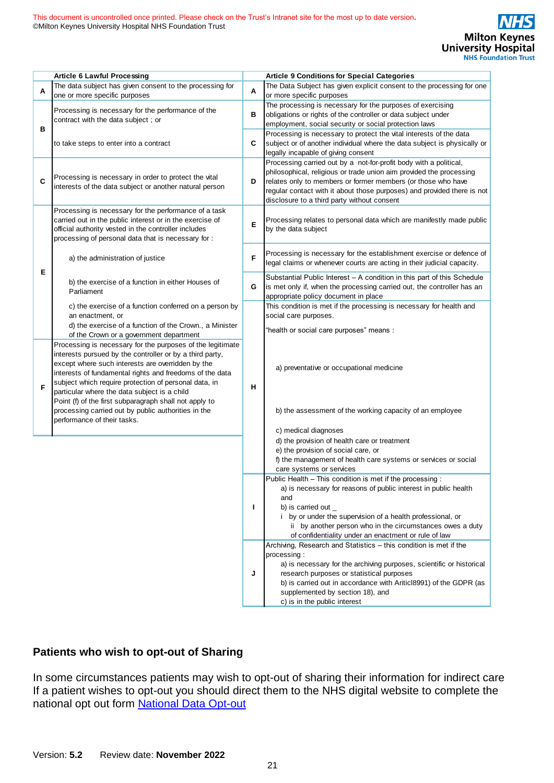|   | <b>Article 6 Lawful Processing</b>                                                                                                                                                                                                                                                                                                               |   | <b>Article 9 Conditions for Special Categories</b>                                                                                                                                                                                                                                                                                               |
|---|--------------------------------------------------------------------------------------------------------------------------------------------------------------------------------------------------------------------------------------------------------------------------------------------------------------------------------------------------|---|--------------------------------------------------------------------------------------------------------------------------------------------------------------------------------------------------------------------------------------------------------------------------------------------------------------------------------------------------|
| A | The data subject has given consent to the processing for<br>one or more specific purposes                                                                                                                                                                                                                                                        | Α | The Data Subject has given explicit consent to the processing for one<br>or more specific purposes                                                                                                                                                                                                                                               |
|   | Processing is necessary for the performance of the<br>contract with the data subject ; or                                                                                                                                                                                                                                                        | в | The processing is necessary for the purposes of exercising<br>obligations or rights of the controller or data subject under                                                                                                                                                                                                                      |
| в | to take steps to enter into a contract                                                                                                                                                                                                                                                                                                           | С | employment, social security or social protection laws<br>Processing is necessary to protect the vital interests of the data<br>subject or of another individual where the data subject is physically or<br>legally incapable of giving consent                                                                                                   |
| C | Processing is necessary in order to protect the vital<br>interests of the data subject or another natural person                                                                                                                                                                                                                                 | D | Processing carried out by a not-for-profit body with a political,<br>philosophical, religious or trade union aim provided the processing<br>relates only to members or former members (or those who have<br>regular contact with it about those purposes) and provided there is not<br>disclosure to a third party without consent               |
|   | Processing is necessary for the performance of a task<br>carried out in the public interest or in the exercise of<br>official authority vested in the controller includes<br>processing of personal data that is necessary for:                                                                                                                  | Е | Processing relates to personal data which are manifestly made public<br>by the data subject                                                                                                                                                                                                                                                      |
| Е | a) the administration of justice                                                                                                                                                                                                                                                                                                                 | F | Processing is necessary for the establishment exercise or defence of<br>legal claims or whenever courts are acting in their judicial capacity.                                                                                                                                                                                                   |
|   | b) the exercise of a function in either Houses of<br>Parliament                                                                                                                                                                                                                                                                                  | G | Substantial Public Interest - A condition in this part of this Schedule<br>is met only if, when the processing carried out, the controller has an<br>appropriate policy document in place                                                                                                                                                        |
|   | c) the exercise of a function conferred on a person by<br>an enactment, or<br>d) the exercise of a function of the Crown., a Minister<br>of the Crown or a government department                                                                                                                                                                 |   | This condition is met if the processing is necessary for health and<br>social care purposes.<br>"health or social care purposes" means:                                                                                                                                                                                                          |
| F | Processing is necessary for the purposes of the legitimate<br>interests pursued by the controller or by a third party,<br>except where such interests are overridden by the<br>interests of fundamental rights and freedoms of the data<br>subject which require protection of personal data, in<br>particular where the data subject is a child | н | a) preventative or occupational medicine                                                                                                                                                                                                                                                                                                         |
|   | Point (f) of the first subparagraph shall not apply to<br>processing carried out by public authorities in the<br>performance of their tasks.                                                                                                                                                                                                     |   | b) the assessment of the working capacity of an employee                                                                                                                                                                                                                                                                                         |
|   |                                                                                                                                                                                                                                                                                                                                                  |   | c) medical diagnoses<br>d) the provision of health care or treatment<br>e) the provision of social care, or<br>f) the management of health care systems or services or social<br>care systems or services                                                                                                                                        |
|   |                                                                                                                                                                                                                                                                                                                                                  | L | Public Health - This condition is met if the processing :<br>a) is necessary for reasons of public interest in public health<br>and<br>b) is carried out $\_$<br>i by or under the supervision of a health professional, or<br>ii by another person who in the circumstances owes a duty<br>of confidentiality under an enactment or rule of law |
|   |                                                                                                                                                                                                                                                                                                                                                  | J | Archiving, Research and Statistics – this condition is met if the<br>processing :<br>a) is necessary for the archiving purposes, scientific or historical<br>research purposes or statistical purposes<br>b) is carried out in accordance with Ariticl8991) of the GDPR (as<br>supplemented by section 18), and<br>c) is in the public interest  |

#### **Patients who wish to opt-out of Sharing**

In some circumstances patients may wish to opt-out of sharing their information for indirect care If a patient wishes to opt-out you should direct them to the NHS digital website to complete the national opt out form [National Data Opt-out](https://digital.nhs.uk/services/national-data-opt-out)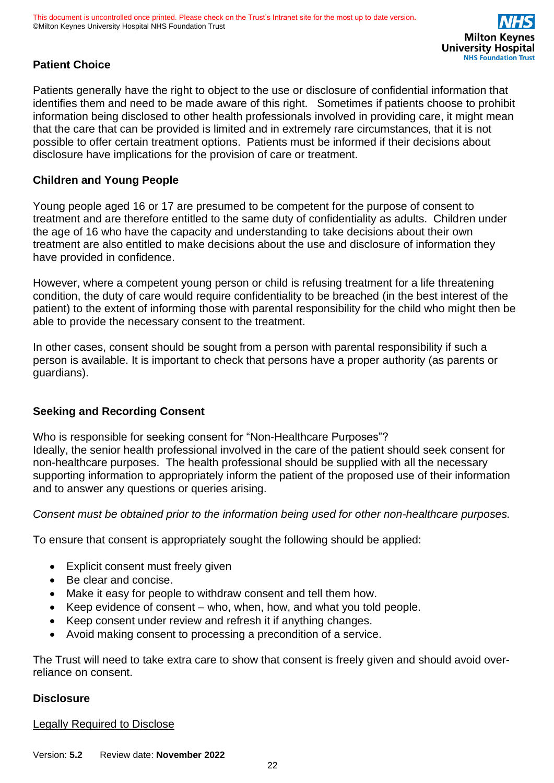

### **Patient Choice**

Patients generally have the right to object to the use or disclosure of confidential information that identifies them and need to be made aware of this right. Sometimes if patients choose to prohibit information being disclosed to other health professionals involved in providing care, it might mean that the care that can be provided is limited and in extremely rare circumstances, that it is not possible to offer certain treatment options. Patients must be informed if their decisions about disclosure have implications for the provision of care or treatment.

#### **Children and Young People**

Young people aged 16 or 17 are presumed to be competent for the purpose of consent to treatment and are therefore entitled to the same duty of confidentiality as adults. Children under the age of 16 who have the capacity and understanding to take decisions about their own treatment are also entitled to make decisions about the use and disclosure of information they have provided in confidence.

However, where a competent young person or child is refusing treatment for a life threatening condition, the duty of care would require confidentiality to be breached (in the best interest of the patient) to the extent of informing those with parental responsibility for the child who might then be able to provide the necessary consent to the treatment.

In other cases, consent should be sought from a person with parental responsibility if such a person is available. It is important to check that persons have a proper authority (as parents or guardians).

### **Seeking and Recording Consent**

Who is responsible for seeking consent for "Non-Healthcare Purposes"? Ideally, the senior health professional involved in the care of the patient should seek consent for non-healthcare purposes. The health professional should be supplied with all the necessary supporting information to appropriately inform the patient of the proposed use of their information and to answer any questions or queries arising.

*Consent must be obtained prior to the information being used for other non-healthcare purposes.*

To ensure that consent is appropriately sought the following should be applied:

- Explicit consent must freely given
- Be clear and concise.
- Make it easy for people to withdraw consent and tell them how.
- Keep evidence of consent who, when, how, and what you told people.
- Keep consent under review and refresh it if anything changes.
- Avoid making consent to processing a precondition of a service.

The Trust will need to take extra care to show that consent is freely given and should avoid overreliance on consent.

#### **Disclosure**

Legally Required to Disclose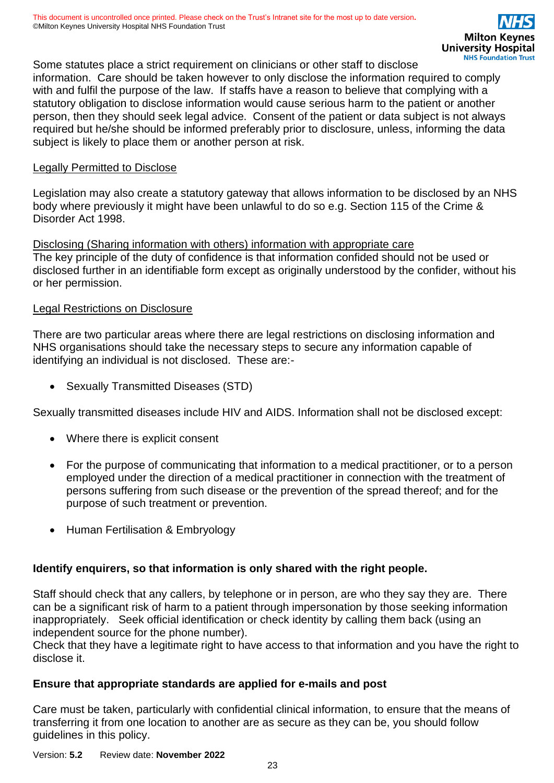Some statutes place a strict requirement on clinicians or other staff to disclose information. Care should be taken however to only disclose the information required to comply with and fulfil the purpose of the law. If staffs have a reason to believe that complying with a statutory obligation to disclose information would cause serious harm to the patient or another person, then they should seek legal advice. Consent of the patient or data subject is not always required but he/she should be informed preferably prior to disclosure, unless, informing the data subject is likely to place them or another person at risk.

#### Legally Permitted to Disclose

Legislation may also create a statutory gateway that allows information to be disclosed by an NHS body where previously it might have been unlawful to do so e.g. Section 115 of the Crime & Disorder Act 1998.

#### Disclosing (Sharing information with others) information with appropriate care

The key principle of the duty of confidence is that information confided should not be used or disclosed further in an identifiable form except as originally understood by the confider, without his or her permission.

#### Legal Restrictions on Disclosure

There are two particular areas where there are legal restrictions on disclosing information and NHS organisations should take the necessary steps to secure any information capable of identifying an individual is not disclosed. These are:-

• Sexually Transmitted Diseases (STD)

Sexually transmitted diseases include HIV and AIDS. Information shall not be disclosed except:

- Where there is explicit consent
- For the purpose of communicating that information to a medical practitioner, or to a person employed under the direction of a medical practitioner in connection with the treatment of persons suffering from such disease or the prevention of the spread thereof; and for the purpose of such treatment or prevention.
- Human Fertilisation & Embryology

### **Identify enquirers, so that information is only shared with the right people.**

Staff should check that any callers, by telephone or in person, are who they say they are. There can be a significant risk of harm to a patient through impersonation by those seeking information inappropriately. Seek official identification or check identity by calling them back (using an independent source for the phone number).

Check that they have a legitimate right to have access to that information and you have the right to disclose it.

### **Ensure that appropriate standards are applied for e-mails and post**

Care must be taken, particularly with confidential clinical information, to ensure that the means of transferring it from one location to another are as secure as they can be, you should follow guidelines in this policy.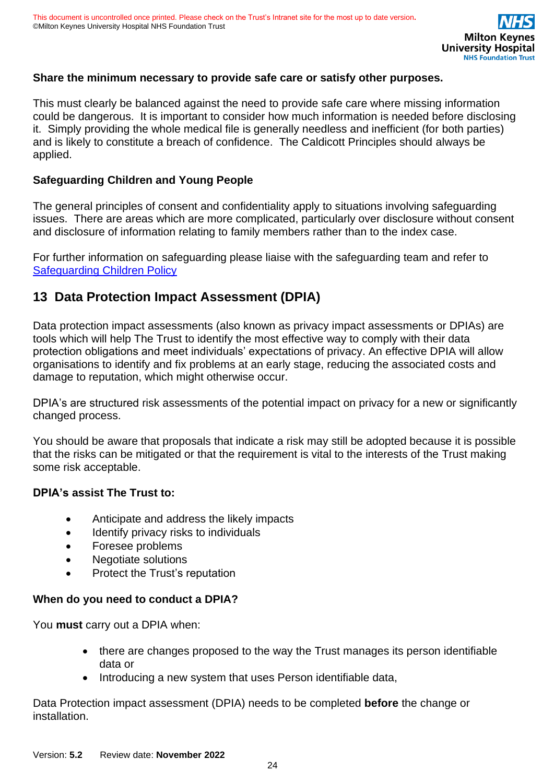### **Share the minimum necessary to provide safe care or satisfy other purposes.**

This must clearly be balanced against the need to provide safe care where missing information could be dangerous. It is important to consider how much information is needed before disclosing it. Simply providing the whole medical file is generally needless and inefficient (for both parties) and is likely to constitute a breach of confidence. The Caldicott Principles should always be applied.

### **Safeguarding Children and Young People**

The general principles of consent and confidentiality apply to situations involving safeguarding issues. There are areas which are more complicated, particularly over disclosure without consent and disclosure of information relating to family members rather than to the index case.

For further information on safeguarding please liaise with the safeguarding team and refer to [Safeguarding Children Policy](https://intranet.mkuh.nhs.uk/safeguarding-and-quality/safeguarding-children/policies-procedures-and-legislation)

# <span id="page-23-0"></span>**13 Data Protection Impact Assessment (DPIA)**

Data protection impact assessments (also known as privacy impact assessments or DPIAs) are tools which will help The Trust to identify the most effective way to comply with their data protection obligations and meet individuals' expectations of privacy. An effective DPIA will allow organisations to identify and fix problems at an early stage, reducing the associated costs and damage to reputation, which might otherwise occur.

DPIA's are structured risk assessments of the potential impact on privacy for a new or significantly changed process.

You should be aware that proposals that indicate a risk may still be adopted because it is possible that the risks can be mitigated or that the requirement is vital to the interests of the Trust making some risk acceptable.

#### **DPIA's assist The Trust to:**

- Anticipate and address the likely impacts
- Identify privacy risks to individuals
- Foresee problems
- Negotiate solutions
- Protect the Trust's reputation

### **When do you need to conduct a DPIA?**

You **must** carry out a DPIA when:

- there are changes proposed to the way the Trust manages its person identifiable data or
- Introducing a new system that uses Person identifiable data,

Data Protection impact assessment (DPIA) needs to be completed **before** the change or installation.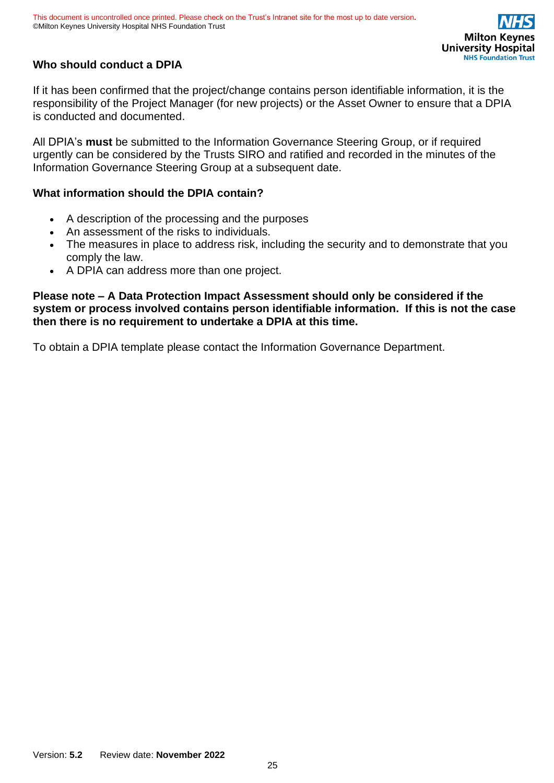

### **Who should conduct a DPIA**

If it has been confirmed that the project/change contains person identifiable information, it is the responsibility of the Project Manager (for new projects) or the Asset Owner to ensure that a DPIA is conducted and documented.

All DPIA's **must** be submitted to the Information Governance Steering Group, or if required urgently can be considered by the Trusts SIRO and ratified and recorded in the minutes of the Information Governance Steering Group at a subsequent date.

#### **What information should the DPIA contain?**

- A description of the processing and the purposes
- An assessment of the risks to individuals.
- The measures in place to address risk, including the security and to demonstrate that you comply the law.
- A DPIA can address more than one project.

**Please note – A Data Protection Impact Assessment should only be considered if the system or process involved contains person identifiable information. If this is not the case then there is no requirement to undertake a DPIA at this time.**

To obtain a DPIA template please contact the Information Governance Department.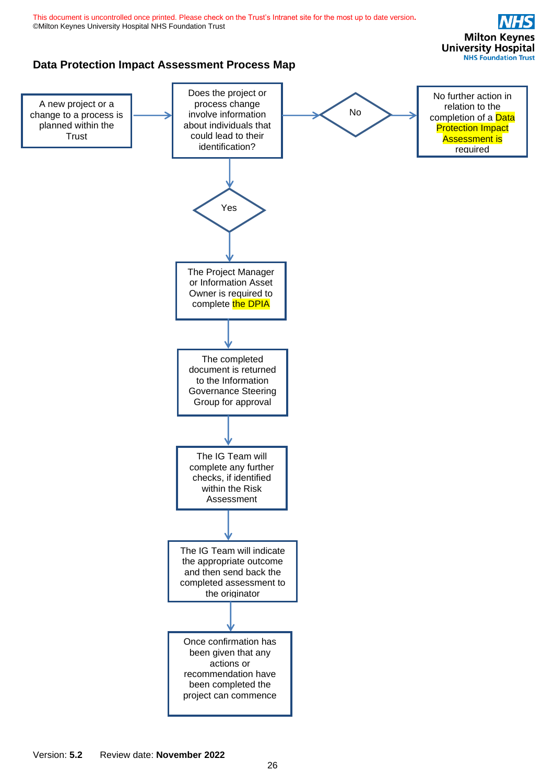<span id="page-25-0"></span>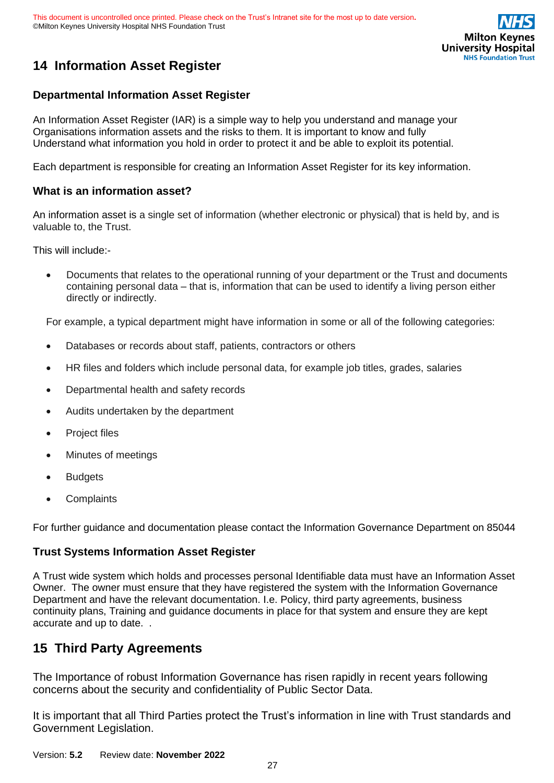

# **14 Information Asset Register**

#### **Departmental Information Asset Register**

An Information Asset Register (IAR) is a simple way to help you understand and manage your Organisations information assets and the risks to them. It is important to know and fully Understand what information you hold in order to protect it and be able to exploit its potential.

Each department is responsible for creating an Information Asset Register for its key information.

#### **What is an information asset?**

An information asset is a single set of information (whether electronic or physical) that is held by, and is valuable to, the Trust.

This will include:-

• Documents that relates to the operational running of your department or the Trust and documents containing personal data – that is, information that can be used to identify a living person either directly or indirectly.

For example, a typical department might have information in some or all of the following categories:

- Databases or records about staff, patients, contractors or others
- HR files and folders which include personal data, for example job titles, grades, salaries
- Departmental health and safety records
- Audits undertaken by the department
- Project files
- Minutes of meetings
- **Budgets**
- **Complaints**

For further guidance and documentation please contact the Information Governance Department on 85044

#### **Trust Systems Information Asset Register**

A Trust wide system which holds and processes personal Identifiable data must have an Information Asset Owner. The owner must ensure that they have registered the system with the Information Governance Department and have the relevant documentation. I.e. Policy, third party agreements, business continuity plans, Training and guidance documents in place for that system and ensure they are kept accurate and up to date. .

# <span id="page-26-0"></span>**15 Third Party Agreements**

The Importance of robust Information Governance has risen rapidly in recent years following concerns about the security and confidentiality of Public Sector Data.

It is important that all Third Parties protect the Trust's information in line with Trust standards and Government Legislation.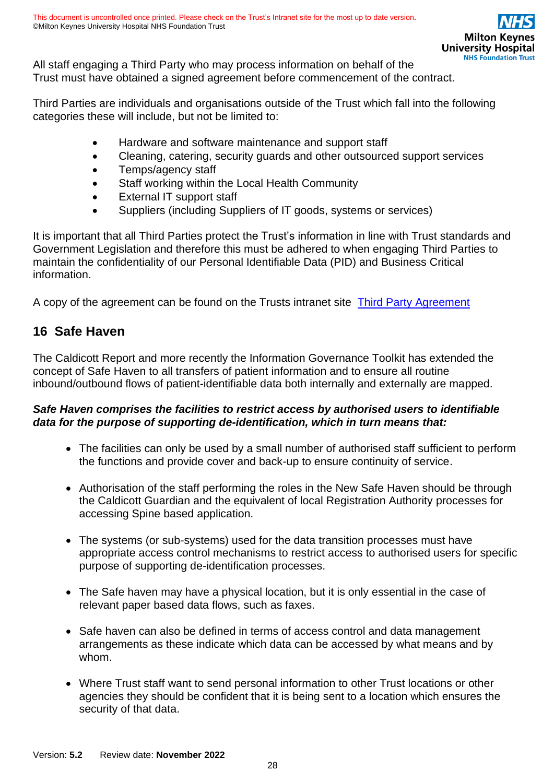All staff engaging a Third Party who may process information on behalf of the Trust must have obtained a signed agreement before commencement of the contract.

Third Parties are individuals and organisations outside of the Trust which fall into the following categories these will include, but not be limited to:

- Hardware and software maintenance and support staff
- Cleaning, catering, security guards and other outsourced support services
- Temps/agency staff
- Staff working within the Local Health Community
- External IT support staff
- Suppliers (including Suppliers of IT goods, systems or services)

It is important that all Third Parties protect the Trust's information in line with Trust standards and Government Legislation and therefore this must be adhered to when engaging Third Parties to maintain the confidentiality of our Personal Identifiable Data (PID) and Business Critical information.

<span id="page-27-0"></span>A copy of the agreement can be found on the Trusts intranet site [Third Party Agreement](https://mkuhcloud.sharepoint.com/sites/TrustDocumentation/Non%20Clinical%20Documentation/Forms/AllItems.aspx?id=%2Fsites%2FTrustDocumentation%2FNon%20Clinical%20Documentation%2FInformation%20Governance%2FInfromation%20Governance%20Polices%20and%20Guidelines&newTargetListUrl=%2Fsites%2FTrustDocumentation%2FNon%20Clinical%20Documentation&viewpath=%2Fsites%2FTrustDocumentation%2FNon%20Clinical%20Documentation%2FForms%2FAllItems%2Easpx&viewid=deefa822%2D8fea%2D45b6%2D9120%2D8f96206faae1)

# **16 Safe Haven**

The Caldicott Report and more recently the Information Governance Toolkit has extended the concept of Safe Haven to all transfers of patient information and to ensure all routine inbound/outbound flows of patient-identifiable data both internally and externally are mapped.

### *Safe Haven comprises the facilities to restrict access by authorised users to identifiable data for the purpose of supporting de-identification, which in turn means that:*

- The facilities can only be used by a small number of authorised staff sufficient to perform the functions and provide cover and back-up to ensure continuity of service.
- Authorisation of the staff performing the roles in the New Safe Haven should be through the Caldicott Guardian and the equivalent of local Registration Authority processes for accessing Spine based application.
- The systems (or sub-systems) used for the data transition processes must have appropriate access control mechanisms to restrict access to authorised users for specific purpose of supporting de-identification processes.
- The Safe haven may have a physical location, but it is only essential in the case of relevant paper based data flows, such as faxes.
- Safe haven can also be defined in terms of access control and data management arrangements as these indicate which data can be accessed by what means and by whom.
- Where Trust staff want to send personal information to other Trust locations or other agencies they should be confident that it is being sent to a location which ensures the security of that data.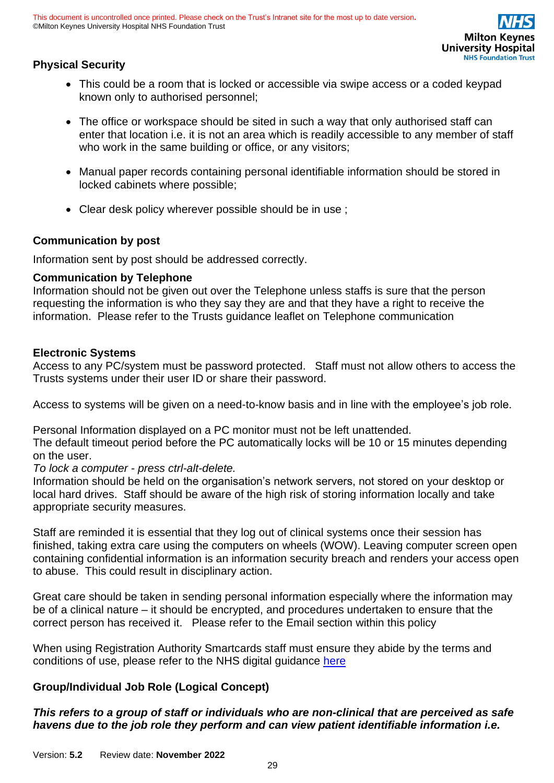### **Physical Security**

- This could be a room that is locked or accessible via swipe access or a coded keypad known only to authorised personnel;
- The office or workspace should be sited in such a way that only authorised staff can enter that location i.e. it is not an area which is readily accessible to any member of staff who work in the same building or office, or any visitors;
- Manual paper records containing personal identifiable information should be stored in locked cabinets where possible;
- Clear desk policy wherever possible should be in use ;

### **Communication by post**

Information sent by post should be addressed correctly.

#### **Communication by Telephone**

Information should not be given out over the Telephone unless staffs is sure that the person requesting the information is who they say they are and that they have a right to receive the information. Please refer to the Trusts guidance leaflet on Telephone communication

#### **Electronic Systems**

Access to any PC/system must be password protected. Staff must not allow others to access the Trusts systems under their user ID or share their password.

Access to systems will be given on a need-to-know basis and in line with the employee's job role.

Personal Information displayed on a PC monitor must not be left unattended.

The default timeout period before the PC automatically locks will be 10 or 15 minutes depending on the user.

#### *To lock a computer - press ctrl-alt-delete.*

Information should be held on the organisation's network servers, not stored on your desktop or local hard drives. Staff should be aware of the high risk of storing information locally and take appropriate security measures.

Staff are reminded it is essential that they log out of clinical systems once their session has finished, taking extra care using the computers on wheels (WOW). Leaving computer screen open containing confidential information is an information security breach and renders your access open to abuse. This could result in disciplinary action.

Great care should be taken in sending personal information especially where the information may be of a clinical nature – it should be encrypted, and procedures undertaken to ensure that the correct person has received it. Please refer to the Email section within this policy

When using Registration Authority Smartcards staff must ensure they abide by the terms and conditions of use, please refer to the NHS digital guidance [here](https://digital.nhs.uk/services/registration-authorities-and-smartcards/spine-2-care-identity-service-if-not-own-section/care-identity-service-guidance-leaflets)

#### **Group/Individual Job Role (Logical Concept)**

### *This refers to a group of staff or individuals who are non-clinical that are perceived as safe havens due to the job role they perform and can view patient identifiable information i.e.*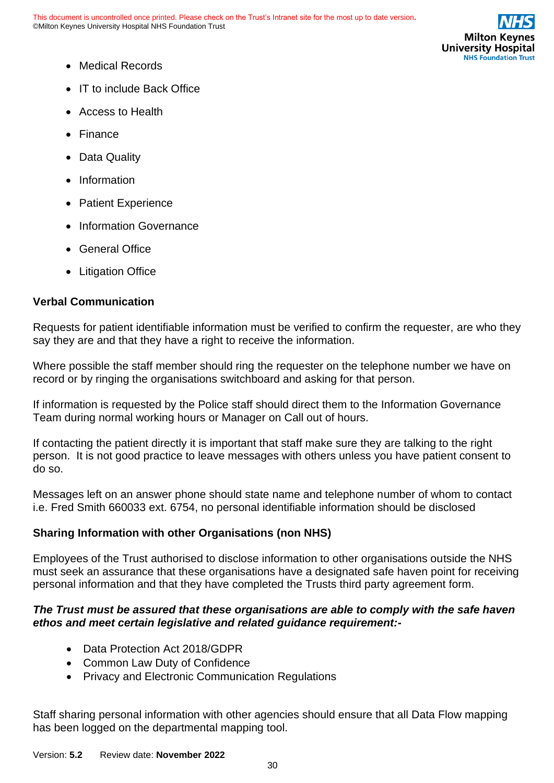

- Medical Records
- IT to include Back Office
- Access to Health
- Finance
- Data Quality
- Information
- Patient Experience
- Information Governance
- General Office
- Litigation Office

### **Verbal Communication**

Requests for patient identifiable information must be verified to confirm the requester, are who they say they are and that they have a right to receive the information.

Where possible the staff member should ring the requester on the telephone number we have on record or by ringing the organisations switchboard and asking for that person.

If information is requested by the Police staff should direct them to the Information Governance Team during normal working hours or Manager on Call out of hours.

If contacting the patient directly it is important that staff make sure they are talking to the right person. It is not good practice to leave messages with others unless you have patient consent to do so.

Messages left on an answer phone should state name and telephone number of whom to contact i.e. Fred Smith 660033 ext. 6754, no personal identifiable information should be disclosed

### **Sharing Information with other Organisations (non NHS)**

Employees of the Trust authorised to disclose information to other organisations outside the NHS must seek an assurance that these organisations have a designated safe haven point for receiving personal information and that they have completed the Trusts third party agreement form.

### *The Trust must be assured that these organisations are able to comply with the safe haven ethos and meet certain legislative and related guidance requirement:-*

- Data Protection Act 2018/GDPR
- Common Law Duty of Confidence
- Privacy and Electronic Communication Regulations

Staff sharing personal information with other agencies should ensure that all Data Flow mapping has been logged on the departmental mapping tool.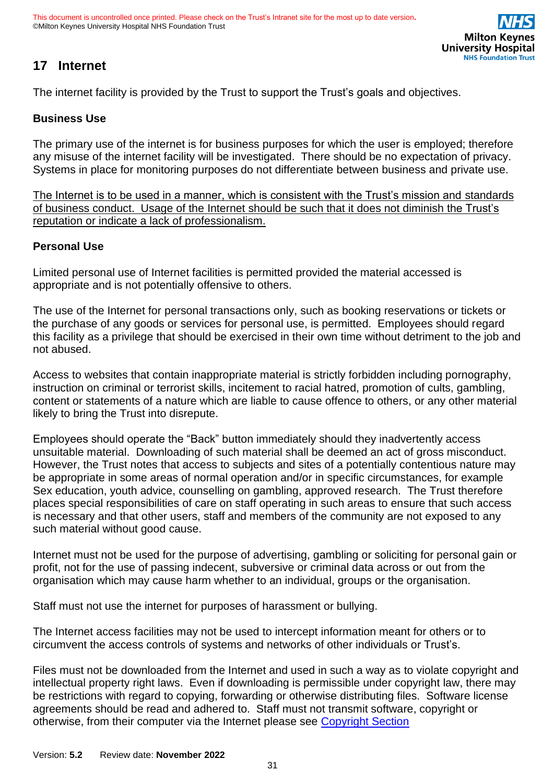# <span id="page-30-0"></span>**17 Internet**

The internet facility is provided by the Trust to support the Trust's goals and objectives.

### **Business Use**

The primary use of the internet is for business purposes for which the user is employed; therefore any misuse of the internet facility will be investigated. There should be no expectation of privacy. Systems in place for monitoring purposes do not differentiate between business and private use.

The Internet is to be used in a manner, which is consistent with the Trust's mission and standards of business conduct. Usage of the Internet should be such that it does not diminish the Trust's reputation or indicate a lack of professionalism.

#### **Personal Use**

Limited personal use of Internet facilities is permitted provided the material accessed is appropriate and is not potentially offensive to others.

The use of the Internet for personal transactions only, such as booking reservations or tickets or the purchase of any goods or services for personal use, is permitted. Employees should regard this facility as a privilege that should be exercised in their own time without detriment to the job and not abused.

Access to websites that contain inappropriate material is strictly forbidden including pornography, instruction on criminal or terrorist skills, incitement to racial hatred, promotion of cults, gambling, content or statements of a nature which are liable to cause offence to others, or any other material likely to bring the Trust into disrepute.

Employees should operate the "Back" button immediately should they inadvertently access unsuitable material. Downloading of such material shall be deemed an act of gross misconduct. However, the Trust notes that access to subjects and sites of a potentially contentious nature may be appropriate in some areas of normal operation and/or in specific circumstances, for example Sex education, youth advice, counselling on gambling, approved research. The Trust therefore places special responsibilities of care on staff operating in such areas to ensure that such access is necessary and that other users, staff and members of the community are not exposed to any such material without good cause.

Internet must not be used for the purpose of advertising, gambling or soliciting for personal gain or profit, not for the use of passing indecent, subversive or criminal data across or out from the organisation which may cause harm whether to an individual, groups or the organisation.

Staff must not use the internet for purposes of harassment or bullying.

The Internet access facilities may not be used to intercept information meant for others or to circumvent the access controls of systems and networks of other individuals or Trust's.

Files must not be downloaded from the Internet and used in such a way as to violate copyright and intellectual property right laws. Even if downloading is permissible under copyright law, there may be restrictions with regard to copying, forwarding or otherwise distributing files. Software license agreements should be read and adhered to. Staff must not transmit software, copyright or otherwise, from their computer via the Internet please see [Copyright Section](#page-45-1)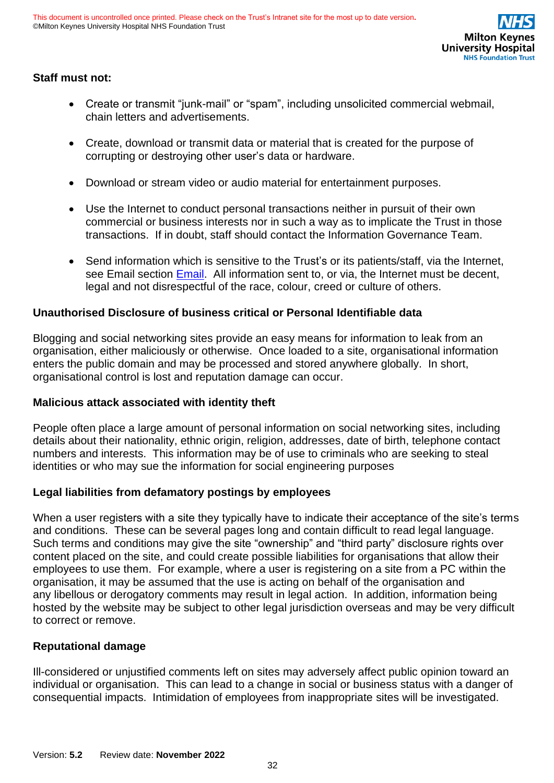

### **Staff must not:**

- Create or transmit "junk-mail" or "spam", including unsolicited commercial webmail, chain letters and advertisements.
- Create, download or transmit data or material that is created for the purpose of corrupting or destroying other user's data or hardware.
- Download or stream video or audio material for entertainment purposes.
- Use the Internet to conduct personal transactions neither in pursuit of their own commercial or business interests nor in such a way as to implicate the Trust in those transactions. If in doubt, staff should contact the Information Governance Team.
- Send information which is sensitive to the Trust's or its patients/staff, via the Internet, see Email section [Email.](#page-32-1) All information sent to, or via, the Internet must be decent, legal and not disrespectful of the race, colour, creed or culture of others.

### **Unauthorised Disclosure of business critical or Personal Identifiable data**

Blogging and social networking sites provide an easy means for information to leak from an organisation, either maliciously or otherwise. Once loaded to a site, organisational information enters the public domain and may be processed and stored anywhere globally. In short, organisational control is lost and reputation damage can occur.

#### **Malicious attack associated with identity theft**

People often place a large amount of personal information on social networking sites, including details about their nationality, ethnic origin, religion, addresses, date of birth, telephone contact numbers and interests. This information may be of use to criminals who are seeking to steal identities or who may sue the information for social engineering purposes

#### **Legal liabilities from defamatory postings by employees**

When a user registers with a site they typically have to indicate their acceptance of the site's terms and conditions. These can be several pages long and contain difficult to read legal language. Such terms and conditions may give the site "ownership" and "third party" disclosure rights over content placed on the site, and could create possible liabilities for organisations that allow their employees to use them. For example, where a user is registering on a site from a PC within the organisation, it may be assumed that the use is acting on behalf of the organisation and any libellous or derogatory comments may result in legal action. In addition, information being hosted by the website may be subject to other legal jurisdiction overseas and may be very difficult to correct or remove.

#### **Reputational damage**

Ill-considered or unjustified comments left on sites may adversely affect public opinion toward an individual or organisation. This can lead to a change in social or business status with a danger of consequential impacts. Intimidation of employees from inappropriate sites will be investigated.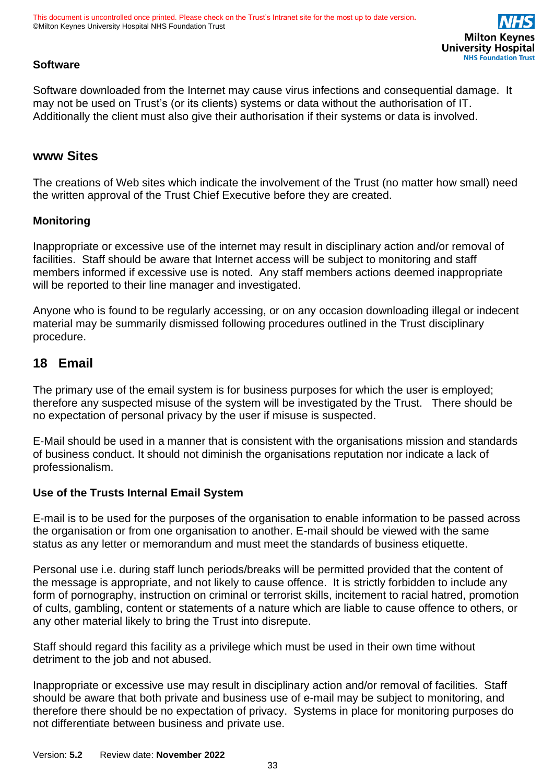

### **Software**

Software downloaded from the Internet may cause virus infections and consequential damage. It may not be used on Trust's (or its clients) systems or data without the authorisation of IT. Additionally the client must also give their authorisation if their systems or data is involved.

### **www Sites**

The creations of Web sites which indicate the involvement of the Trust (no matter how small) need the written approval of the Trust Chief Executive before they are created.

#### **Monitoring**

Inappropriate or excessive use of the internet may result in disciplinary action and/or removal of facilities. Staff should be aware that Internet access will be subject to monitoring and staff members informed if excessive use is noted. Any staff members actions deemed inappropriate will be reported to their line manager and investigated.

Anyone who is found to be regularly accessing, or on any occasion downloading illegal or indecent material may be summarily dismissed following procedures outlined in the Trust disciplinary procedure.

### <span id="page-32-1"></span><span id="page-32-0"></span>**18 Email**

The primary use of the email system is for business purposes for which the user is employed; therefore any suspected misuse of the system will be investigated by the Trust. There should be no expectation of personal privacy by the user if misuse is suspected.

E-Mail should be used in a manner that is consistent with the organisations mission and standards of business conduct. It should not diminish the organisations reputation nor indicate a lack of professionalism.

#### **Use of the Trusts Internal Email System**

E-mail is to be used for the purposes of the organisation to enable information to be passed across the organisation or from one organisation to another. E-mail should be viewed with the same status as any letter or memorandum and must meet the standards of business etiquette.

Personal use i.e. during staff lunch periods/breaks will be permitted provided that the content of the message is appropriate, and not likely to cause offence. It is strictly forbidden to include any form of pornography, instruction on criminal or terrorist skills, incitement to racial hatred, promotion of cults, gambling, content or statements of a nature which are liable to cause offence to others, or any other material likely to bring the Trust into disrepute.

Staff should regard this facility as a privilege which must be used in their own time without detriment to the job and not abused.

Inappropriate or excessive use may result in disciplinary action and/or removal of facilities. Staff should be aware that both private and business use of e-mail may be subject to monitoring, and therefore there should be no expectation of privacy. Systems in place for monitoring purposes do not differentiate between business and private use.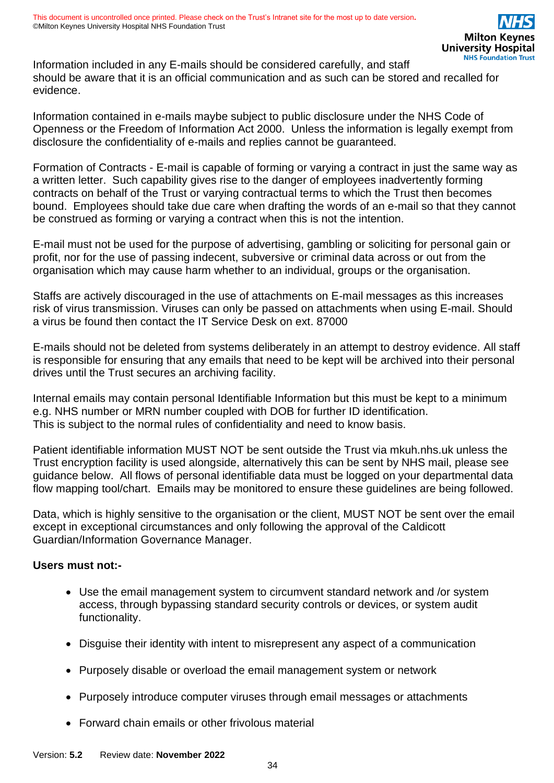Information included in any E-mails should be considered carefully, and staff should be aware that it is an official communication and as such can be stored and recalled for evidence.

Information contained in e-mails maybe subject to public disclosure under the NHS Code of Openness or the Freedom of Information Act 2000. Unless the information is legally exempt from disclosure the confidentiality of e-mails and replies cannot be guaranteed.

Formation of Contracts - E-mail is capable of forming or varying a contract in just the same way as a written letter. Such capability gives rise to the danger of employees inadvertently forming contracts on behalf of the Trust or varying contractual terms to which the Trust then becomes bound. Employees should take due care when drafting the words of an e-mail so that they cannot be construed as forming or varying a contract when this is not the intention.

E-mail must not be used for the purpose of advertising, gambling or soliciting for personal gain or profit, nor for the use of passing indecent, subversive or criminal data across or out from the organisation which may cause harm whether to an individual, groups or the organisation.

Staffs are actively discouraged in the use of attachments on E-mail messages as this increases risk of virus transmission. Viruses can only be passed on attachments when using E-mail. Should a virus be found then contact the IT Service Desk on ext. 87000

E-mails should not be deleted from systems deliberately in an attempt to destroy evidence. All staff is responsible for ensuring that any emails that need to be kept will be archived into their personal drives until the Trust secures an archiving facility.

Internal emails may contain personal Identifiable Information but this must be kept to a minimum e.g. NHS number or MRN number coupled with DOB for further ID identification. This is subject to the normal rules of confidentiality and need to know basis.

Patient identifiable information MUST NOT be sent outside the Trust via mkuh.nhs.uk unless the Trust encryption facility is used alongside, alternatively this can be sent by NHS mail, please see guidance below. All flows of personal identifiable data must be logged on your departmental data flow mapping tool/chart. Emails may be monitored to ensure these guidelines are being followed.

Data, which is highly sensitive to the organisation or the client, MUST NOT be sent over the email except in exceptional circumstances and only following the approval of the Caldicott Guardian/Information Governance Manager.

#### **Users must not:-**

- Use the email management system to circumvent standard network and /or system access, through bypassing standard security controls or devices, or system audit functionality.
- Disguise their identity with intent to misrepresent any aspect of a communication
- Purposely disable or overload the email management system or network
- Purposely introduce computer viruses through email messages or attachments
- Forward chain emails or other frivolous material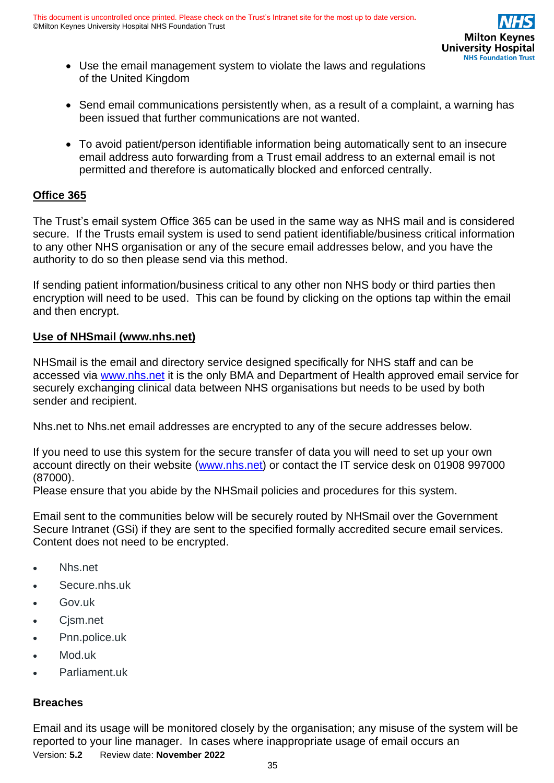- Use the email management system to violate the laws and regulations of the United Kingdom
- Send email communications persistently when, as a result of a complaint, a warning has been issued that further communications are not wanted.
- To avoid patient/person identifiable information being automatically sent to an insecure email address auto forwarding from a Trust email address to an external email is not permitted and therefore is automatically blocked and enforced centrally.

### **Office 365**

The Trust's email system Office 365 can be used in the same way as NHS mail and is considered secure. If the Trusts email system is used to send patient identifiable/business critical information to any other NHS organisation or any of the secure email addresses below, and you have the authority to do so then please send via this method.

If sending patient information/business critical to any other non NHS body or third parties then encryption will need to be used. This can be found by clicking on the options tap within the email and then encrypt.

#### **Use of NHSmail (www.nhs.net)**

NHSmail is the email and directory service designed specifically for NHS staff and can be accessed via [www.nhs.net](http://www.nhs.net/) it is the only BMA and Department of Health approved email service for securely exchanging clinical data between NHS organisations but needs to be used by both sender and recipient.

Nhs.net to Nhs.net email addresses are encrypted to any of the secure addresses below.

If you need to use this system for the secure transfer of data you will need to set up your own account directly on their website [\(www.nhs.net\)](http://www.nhs.net/) or contact the IT service desk on 01908 997000 (87000).

Please ensure that you abide by the NHSmail policies and procedures for this system.

Email sent to the communities below will be securely routed by NHSmail over the Government Secure Intranet (GSi) if they are sent to the specified formally accredited secure email services. Content does not need to be encrypted.

- Nhs.net
- Secure.nhs.uk
- Gov.uk
- Cjsm.net
- Pnn.police.uk
- Mod.uk
- Parliament.uk

#### **Breaches**

Version: **5.2** Review date: **November 2022** Email and its usage will be monitored closely by the organisation; any misuse of the system will be reported to your line manager. In cases where inappropriate usage of email occurs an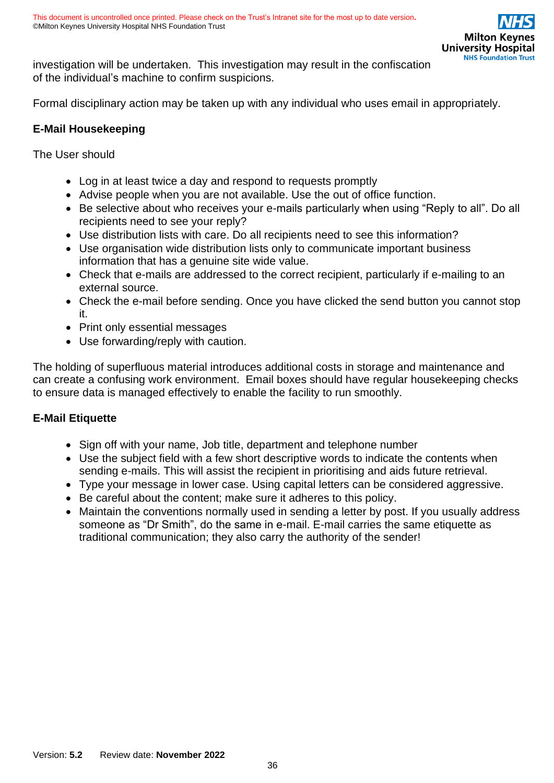investigation will be undertaken. This investigation may result in the confiscation of the individual's machine to confirm suspicions.

Formal disciplinary action may be taken up with any individual who uses email in appropriately.

### **E-Mail Housekeeping**

The User should

- Log in at least twice a day and respond to requests promptly
- Advise people when you are not available. Use the out of office function.
- Be selective about who receives your e-mails particularly when using "Reply to all". Do all recipients need to see your reply?
- Use distribution lists with care. Do all recipients need to see this information?
- Use organisation wide distribution lists only to communicate important business information that has a genuine site wide value.
- Check that e-mails are addressed to the correct recipient, particularly if e-mailing to an external source.
- Check the e-mail before sending. Once you have clicked the send button you cannot stop it.
- Print only essential messages
- Use forwarding/reply with caution.

The holding of superfluous material introduces additional costs in storage and maintenance and can create a confusing work environment. Email boxes should have regular housekeeping checks to ensure data is managed effectively to enable the facility to run smoothly.

### **E-Mail Etiquette**

- Sign off with your name, Job title, department and telephone number
- Use the subject field with a few short descriptive words to indicate the contents when sending e-mails. This will assist the recipient in prioritising and aids future retrieval.
- Type your message in lower case. Using capital letters can be considered aggressive.
- Be careful about the content; make sure it adheres to this policy.
- Maintain the conventions normally used in sending a letter by post. If you usually address someone as "Dr Smith", do the same in e-mail. E-mail carries the same etiquette as traditional communication; they also carry the authority of the sender!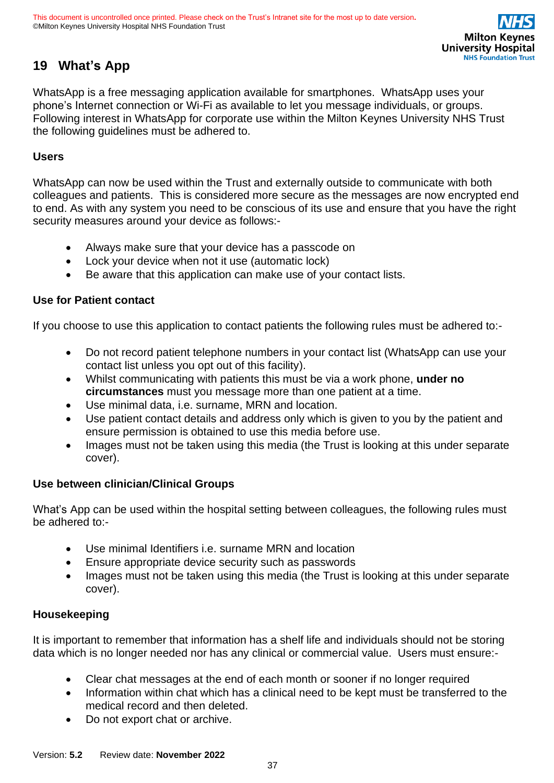# <span id="page-36-0"></span>**19 What's App**

WhatsApp is a free messaging application available for smartphones. WhatsApp uses your phone's Internet connection or Wi-Fi as available to let you message individuals, or groups. Following interest in WhatsApp for corporate use within the Milton Keynes University NHS Trust the following guidelines must be adhered to.

### **Users**

WhatsApp can now be used within the Trust and externally outside to communicate with both colleagues and patients. This is considered more secure as the messages are now encrypted end to end. As with any system you need to be conscious of its use and ensure that you have the right security measures around your device as follows:-

- Always make sure that your device has a passcode on
- Lock your device when not it use (automatic lock)
- Be aware that this application can make use of your contact lists.

### **Use for Patient contact**

If you choose to use this application to contact patients the following rules must be adhered to:-

- Do not record patient telephone numbers in your contact list (WhatsApp can use your contact list unless you opt out of this facility).
- Whilst communicating with patients this must be via a work phone, **under no circumstances** must you message more than one patient at a time.
- Use minimal data, i.e. surname, MRN and location.
- Use patient contact details and address only which is given to you by the patient and ensure permission is obtained to use this media before use.
- Images must not be taken using this media (the Trust is looking at this under separate cover).

### **Use between clinician/Clinical Groups**

What's App can be used within the hospital setting between colleagues, the following rules must be adhered to:-

- Use minimal Identifiers i.e. surname MRN and location
- Ensure appropriate device security such as passwords
- Images must not be taken using this media (the Trust is looking at this under separate cover).

### **Housekeeping**

It is important to remember that information has a shelf life and individuals should not be storing data which is no longer needed nor has any clinical or commercial value. Users must ensure:-

- Clear chat messages at the end of each month or sooner if no longer required
- Information within chat which has a clinical need to be kept must be transferred to the medical record and then deleted.
- Do not export chat or archive.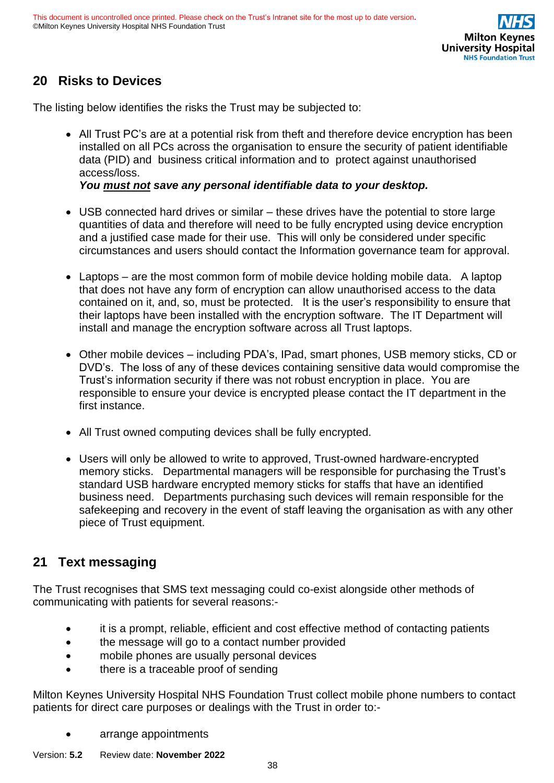# <span id="page-37-0"></span>**20 Risks to Devices**

The listing below identifies the risks the Trust may be subjected to:

• All Trust PC's are at a potential risk from theft and therefore device encryption has been installed on all PCs across the organisation to ensure the security of patient identifiable data (PID) and business critical information and to protect against unauthorised access/loss.

*You must not save any personal identifiable data to your desktop.*

- USB connected hard drives or similar these drives have the potential to store large quantities of data and therefore will need to be fully encrypted using device encryption and a justified case made for their use. This will only be considered under specific circumstances and users should contact the Information governance team for approval.
- Laptops are the most common form of mobile device holding mobile data. A laptop that does not have any form of encryption can allow unauthorised access to the data contained on it, and, so, must be protected. It is the user's responsibility to ensure that their laptops have been installed with the encryption software. The IT Department will install and manage the encryption software across all Trust laptops.
- Other mobile devices including PDA's, IPad, smart phones, USB memory sticks, CD or DVD's. The loss of any of these devices containing sensitive data would compromise the Trust's information security if there was not robust encryption in place. You are responsible to ensure your device is encrypted please contact the IT department in the first instance.
- All Trust owned computing devices shall be fully encrypted.
- Users will only be allowed to write to approved, Trust-owned hardware-encrypted memory sticks. Departmental managers will be responsible for purchasing the Trust's standard USB hardware encrypted memory sticks for staffs that have an identified business need. Departments purchasing such devices will remain responsible for the safekeeping and recovery in the event of staff leaving the organisation as with any other piece of Trust equipment.

# <span id="page-37-1"></span>**21 Text messaging**

The Trust recognises that SMS text messaging could co-exist alongside other methods of communicating with patients for several reasons:-

- it is a prompt, reliable, efficient and cost effective method of contacting patients
- the message will go to a contact number provided
- mobile phones are usually personal devices
- there is a traceable proof of sending

Milton Keynes University Hospital NHS Foundation Trust collect mobile phone numbers to contact patients for direct care purposes or dealings with the Trust in order to:-

- arrange appointments
- Version: **5.2** Review date: **November 2022**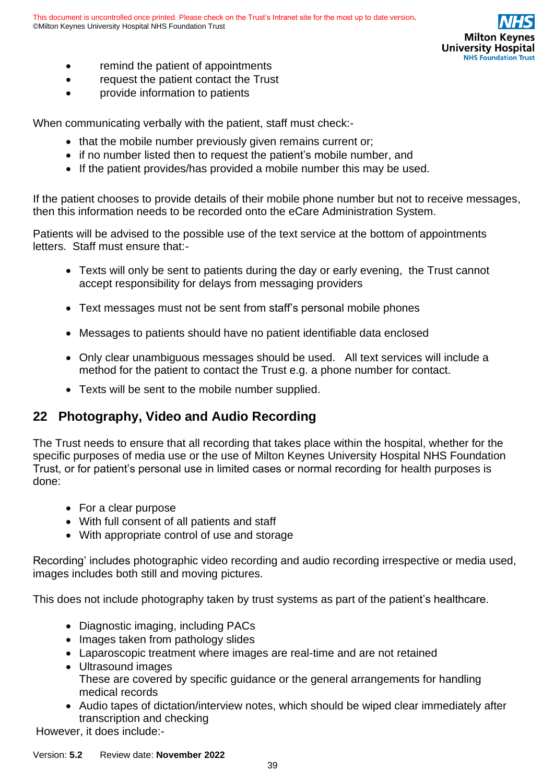

- remind the patient of appointments
- request the patient contact the Trust
- provide information to patients

When communicating verbally with the patient, staff must check:-

- that the mobile number previously given remains current or;
- if no number listed then to request the patient's mobile number, and
- If the patient provides/has provided a mobile number this may be used.

If the patient chooses to provide details of their mobile phone number but not to receive messages, then this information needs to be recorded onto the eCare Administration System.

Patients will be advised to the possible use of the text service at the bottom of appointments letters. Staff must ensure that:-

- Texts will only be sent to patients during the day or early evening, the Trust cannot accept responsibility for delays from messaging providers
- Text messages must not be sent from staff's personal mobile phones
- Messages to patients should have no patient identifiable data enclosed
- Only clear unambiguous messages should be used. All text services will include a method for the patient to contact the Trust e.g. a phone number for contact.
- Texts will be sent to the mobile number supplied.

# <span id="page-38-0"></span>**22 Photography, Video and Audio Recording**

The Trust needs to ensure that all recording that takes place within the hospital, whether for the specific purposes of media use or the use of Milton Keynes University Hospital NHS Foundation Trust, or for patient's personal use in limited cases or normal recording for health purposes is done:

- For a clear purpose
- With full consent of all patients and staff
- With appropriate control of use and storage

Recording' includes photographic video recording and audio recording irrespective or media used, images includes both still and moving pictures.

This does not include photography taken by trust systems as part of the patient's healthcare.

- Diagnostic imaging, including PACs
- Images taken from pathology slides
- Laparoscopic treatment where images are real-time and are not retained
- Ultrasound images These are covered by specific guidance or the general arrangements for handling medical records
- Audio tapes of dictation/interview notes, which should be wiped clear immediately after transcription and checking

However, it does include:-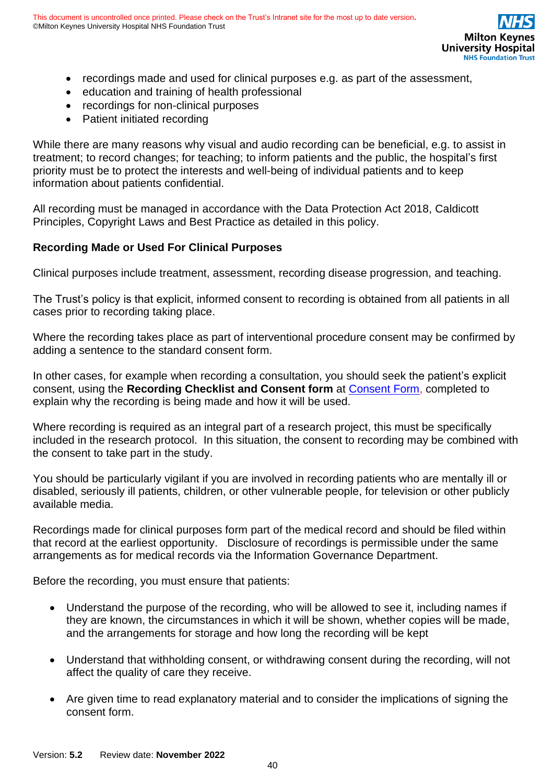- recordings made and used for clinical purposes e.g. as part of the assessment,
- education and training of health professional
- recordings for non-clinical purposes
- Patient initiated recording

While there are many reasons why visual and audio recording can be beneficial, e.g. to assist in treatment; to record changes; for teaching; to inform patients and the public, the hospital's first priority must be to protect the interests and well-being of individual patients and to keep information about patients confidential.

All recording must be managed in accordance with the Data Protection Act 2018, Caldicott Principles, Copyright Laws and Best Practice as detailed in this policy.

### **Recording Made or Used For Clinical Purposes**

Clinical purposes include treatment, assessment, recording disease progression, and teaching.

The Trust's policy is that explicit, informed consent to recording is obtained from all patients in all cases prior to recording taking place.

Where the recording takes place as part of interventional procedure consent may be confirmed by adding a sentence to the standard consent form.

In other cases, for example when recording a consultation, you should seek the patient's explicit consent, using the **Recording Checklist and Consent form** at [Consent Form,](https://intranet.mkuh.nhs.uk/information-governance) completed to explain why the recording is being made and how it will be used.

Where recording is required as an integral part of a research project, this must be specifically included in the research protocol. In this situation, the consent to recording may be combined with the consent to take part in the study.

You should be particularly vigilant if you are involved in recording patients who are mentally ill or disabled, seriously ill patients, children, or other vulnerable people, for television or other publicly available media.

Recordings made for clinical purposes form part of the medical record and should be filed within that record at the earliest opportunity. Disclosure of recordings is permissible under the same arrangements as for medical records via the Information Governance Department.

Before the recording, you must ensure that patients:

- Understand the purpose of the recording, who will be allowed to see it, including names if they are known, the circumstances in which it will be shown, whether copies will be made, and the arrangements for storage and how long the recording will be kept
- Understand that withholding consent, or withdrawing consent during the recording, will not affect the quality of care they receive.
- Are given time to read explanatory material and to consider the implications of signing the consent form.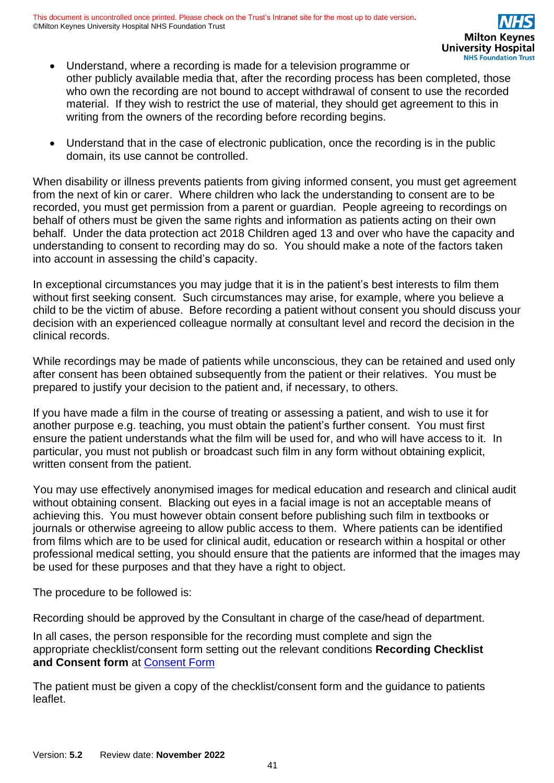- Understand, where a recording is made for a television programme or other publicly available media that, after the recording process has been completed, those who own the recording are not bound to accept withdrawal of consent to use the recorded material. If they wish to restrict the use of material, they should get agreement to this in writing from the owners of the recording before recording begins.
- Understand that in the case of electronic publication, once the recording is in the public domain, its use cannot be controlled.

When disability or illness prevents patients from giving informed consent, you must get agreement from the next of kin or carer. Where children who lack the understanding to consent are to be recorded, you must get permission from a parent or guardian. People agreeing to recordings on behalf of others must be given the same rights and information as patients acting on their own behalf. Under the data protection act 2018 Children aged 13 and over who have the capacity and understanding to consent to recording may do so. You should make a note of the factors taken into account in assessing the child's capacity.

In exceptional circumstances you may judge that it is in the patient's best interests to film them without first seeking consent. Such circumstances may arise, for example, where you believe a child to be the victim of abuse. Before recording a patient without consent you should discuss your decision with an experienced colleague normally at consultant level and record the decision in the clinical records.

While recordings may be made of patients while unconscious, they can be retained and used only after consent has been obtained subsequently from the patient or their relatives. You must be prepared to justify your decision to the patient and, if necessary, to others.

If you have made a film in the course of treating or assessing a patient, and wish to use it for another purpose e.g. teaching, you must obtain the patient's further consent. You must first ensure the patient understands what the film will be used for, and who will have access to it. In particular, you must not publish or broadcast such film in any form without obtaining explicit, written consent from the patient.

You may use effectively anonymised images for medical education and research and clinical audit without obtaining consent. Blacking out eyes in a facial image is not an acceptable means of achieving this. You must however obtain consent before publishing such film in textbooks or journals or otherwise agreeing to allow public access to them. Where patients can be identified from films which are to be used for clinical audit, education or research within a hospital or other professional medical setting, you should ensure that the patients are informed that the images may be used for these purposes and that they have a right to object.

The procedure to be followed is:

Recording should be approved by the Consultant in charge of the case/head of department.

In all cases, the person responsible for the recording must complete and sign the appropriate checklist/consent form setting out the relevant conditions **Recording Checklist and Consent form** at [Consent Form](https://intranet.mkuh.nhs.uk/information-governance)

The patient must be given a copy of the checklist/consent form and the guidance to patients leaflet.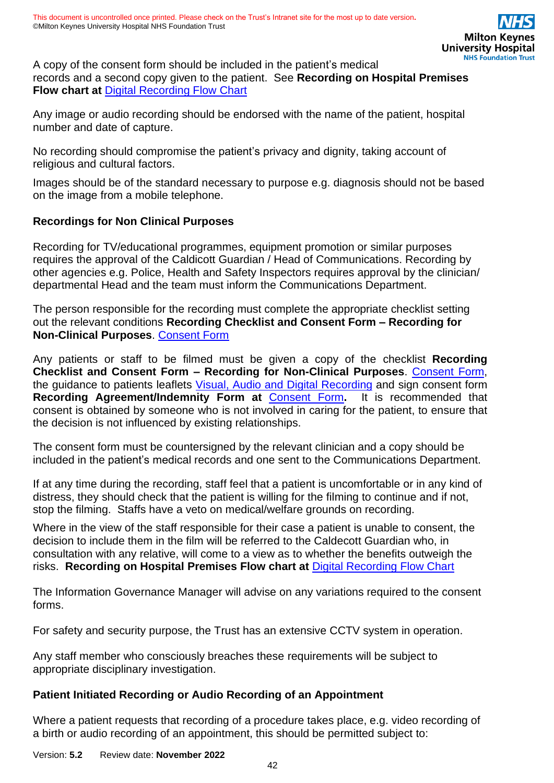A copy of the consent form should be included in the patient's medical records and a second copy given to the patient. See **Recording on Hospital Premises Flow chart at** [Digital Recording Flow](https://intranet.mkuh.nhs.uk/information-governance) Chart

Any image or audio recording should be endorsed with the name of the patient, hospital number and date of capture.

No recording should compromise the patient's privacy and dignity, taking account of religious and cultural factors.

Images should be of the standard necessary to purpose e.g. diagnosis should not be based on the image from a mobile telephone.

### **Recordings for Non Clinical Purposes**

Recording for TV/educational programmes, equipment promotion or similar purposes requires the approval of the Caldicott Guardian / Head of Communications. Recording by other agencies e.g. Police, Health and Safety Inspectors requires approval by the clinician/ departmental Head and the team must inform the Communications Department.

The person responsible for the recording must complete the appropriate checklist setting out the relevant conditions **Recording Checklist and Consent Form – Recording for Non-Clinical Purposes**. [Consent Form](https://intranet.mkuh.nhs.uk/information-governance)

Any patients or staff to be filmed must be given a copy of the checklist **Recording Checklist and Consent Form – Recording for Non-Clinical Purposes**. [Consent Form,](https://intranet.mkuh.nhs.uk/information-governance) the guidance to patients leaflets [Visual, Audio and Digital Recording](https://intranet.mkuh.nhs.uk/posters-booklets-and-leaflets) and sign consent form **Recording Agreement/Indemnity Form at** [Consent Form](https://intranet.mkuh.nhs.uk/information-governance)**.** It is recommended that consent is obtained by someone who is not involved in caring for the patient, to ensure that the decision is not influenced by existing relationships.

The consent form must be countersigned by the relevant clinician and a copy should be included in the patient's medical records and one sent to the Communications Department.

If at any time during the recording, staff feel that a patient is uncomfortable or in any kind of distress, they should check that the patient is willing for the filming to continue and if not, stop the filming. Staffs have a veto on medical/welfare grounds on recording.

Where in the view of the staff responsible for their case a patient is unable to consent, the decision to include them in the film will be referred to the Caldecott Guardian who, in consultation with any relative, will come to a view as to whether the benefits outweigh the risks. **Recording on Hospital Premises Flow chart at** [Digital Recording Flow Chart](https://intranet.mkuh.nhs.uk/information-governance)

The Information Governance Manager will advise on any variations required to the consent forms.

For safety and security purpose, the Trust has an extensive CCTV system in operation.

Any staff member who consciously breaches these requirements will be subject to appropriate disciplinary investigation.

#### **Patient Initiated Recording or Audio Recording of an Appointment**

Where a patient requests that recording of a procedure takes place, e.g. video recording of a birth or audio recording of an appointment, this should be permitted subject to:

Version: **5.2** Review date: **November 2022**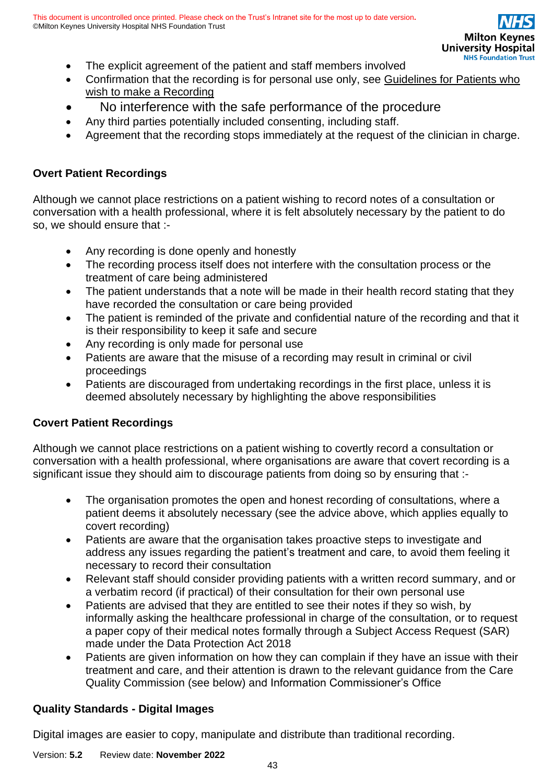- The explicit agreement of the patient and staff members involved
- Confirmation that the recording is for personal use only, see [Guidelines for Patients who](https://intranet.mkuh.nhs.uk/information-governance)  wish [to make a Recording](https://intranet.mkuh.nhs.uk/information-governance)
- No interference with the safe performance of the procedure
- Any third parties potentially included consenting, including staff.
- Agreement that the recording stops immediately at the request of the clinician in charge.

### **Overt Patient Recordings**

Although we cannot place restrictions on a patient wishing to record notes of a consultation or conversation with a health professional, where it is felt absolutely necessary by the patient to do so, we should ensure that :-

- Any recording is done openly and honestly
- The recording process itself does not interfere with the consultation process or the treatment of care being administered
- The patient understands that a note will be made in their health record stating that they have recorded the consultation or care being provided
- The patient is reminded of the private and confidential nature of the recording and that it is their responsibility to keep it safe and secure
- Any recording is only made for personal use
- Patients are aware that the misuse of a recording may result in criminal or civil proceedings
- Patients are discouraged from undertaking recordings in the first place, unless it is deemed absolutely necessary by highlighting the above responsibilities

### **Covert Patient Recordings**

Although we cannot place restrictions on a patient wishing to covertly record a consultation or conversation with a health professional, where organisations are aware that covert recording is a significant issue they should aim to discourage patients from doing so by ensuring that :-

- The organisation promotes the open and honest recording of consultations, where a patient deems it absolutely necessary (see the advice above, which applies equally to covert recording)
- Patients are aware that the organisation takes proactive steps to investigate and address any issues regarding the patient's treatment and care, to avoid them feeling it necessary to record their consultation
- Relevant staff should consider providing patients with a written record summary, and or a verbatim record (if practical) of their consultation for their own personal use
- Patients are advised that they are entitled to see their notes if they so wish, by informally asking the healthcare professional in charge of the consultation, or to request a paper copy of their medical notes formally through a Subject Access Request (SAR) made under the Data Protection Act 2018
- Patients are given information on how they can complain if they have an issue with their treatment and care, and their attention is drawn to the relevant guidance from the Care Quality Commission (see below) and Information Commissioner's Office

# **Quality Standards - Digital Images**

Digital images are easier to copy, manipulate and distribute than traditional recording.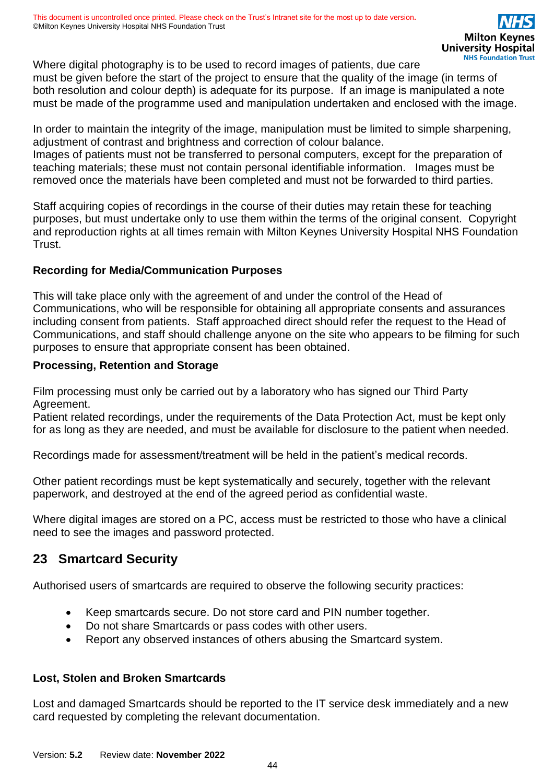Where digital photography is to be used to record images of patients, due care must be given before the start of the project to ensure that the quality of the image (in terms of both resolution and colour depth) is adequate for its purpose. If an image is manipulated a note must be made of the programme used and manipulation undertaken and enclosed with the image.

In order to maintain the integrity of the image, manipulation must be limited to simple sharpening, adjustment of contrast and brightness and correction of colour balance. Images of patients must not be transferred to personal computers, except for the preparation of teaching materials; these must not contain personal identifiable information. Images must be removed once the materials have been completed and must not be forwarded to third parties.

Staff acquiring copies of recordings in the course of their duties may retain these for teaching purposes, but must undertake only to use them within the terms of the original consent. Copyright and reproduction rights at all times remain with Milton Keynes University Hospital NHS Foundation Trust.

### **Recording for Media/Communication Purposes**

This will take place only with the agreement of and under the control of the Head of Communications, who will be responsible for obtaining all appropriate consents and assurances including consent from patients. Staff approached direct should refer the request to the Head of Communications, and staff should challenge anyone on the site who appears to be filming for such purposes to ensure that appropriate consent has been obtained.

#### **Processing, Retention and Storage**

Film processing must only be carried out by a laboratory who has signed our Third Party Agreement.

Patient related recordings, under the requirements of the Data Protection Act, must be kept only for as long as they are needed, and must be available for disclosure to the patient when needed.

Recordings made for assessment/treatment will be held in the patient's medical records.

Other patient recordings must be kept systematically and securely, together with the relevant paperwork, and destroyed at the end of the agreed period as confidential waste.

Where digital images are stored on a PC, access must be restricted to those who have a clinical need to see the images and password protected.

# <span id="page-43-0"></span>**23 Smartcard Security**

Authorised users of smartcards are required to observe the following security practices:

- Keep smartcards secure. Do not store card and PIN number together.
- Do not share Smartcards or pass codes with other users.
- Report any observed instances of others abusing the Smartcard system.

### **Lost, Stolen and Broken Smartcards**

Lost and damaged Smartcards should be reported to the IT service desk immediately and a new card requested by completing the relevant documentation.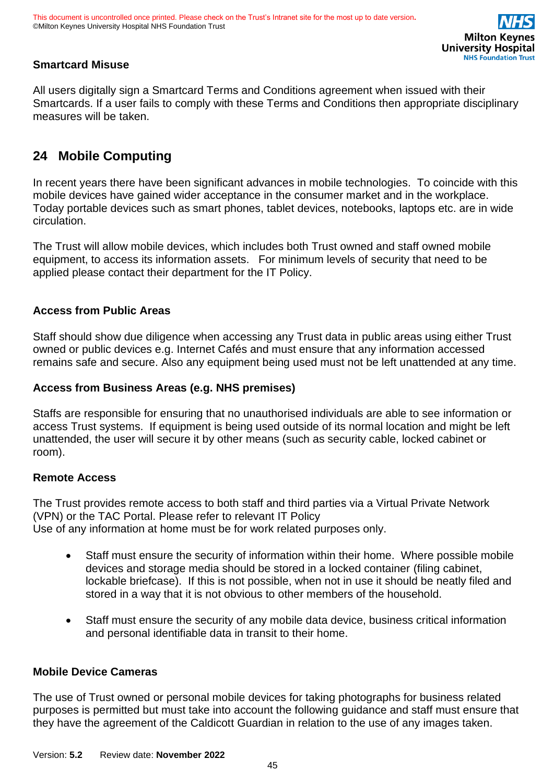### **Smartcard Misuse**

All users digitally sign a Smartcard Terms and Conditions agreement when issued with their Smartcards. If a user fails to comply with these Terms and Conditions then appropriate disciplinary measures will be taken.

# <span id="page-44-0"></span>**24 Mobile Computing**

In recent years there have been significant advances in mobile technologies. To coincide with this mobile devices have gained wider acceptance in the consumer market and in the workplace. Today portable devices such as smart phones, tablet devices, notebooks, laptops etc. are in wide circulation.

The Trust will allow mobile devices, which includes both Trust owned and staff owned mobile equipment, to access its information assets. For minimum levels of security that need to be applied please contact their department for the IT Policy.

### **Access from Public Areas**

Staff should show due diligence when accessing any Trust data in public areas using either Trust owned or public devices e.g. Internet Cafés and must ensure that any information accessed remains safe and secure. Also any equipment being used must not be left unattended at any time.

### **Access from Business Areas (e.g. NHS premises)**

Staffs are responsible for ensuring that no unauthorised individuals are able to see information or access Trust systems. If equipment is being used outside of its normal location and might be left unattended, the user will secure it by other means (such as security cable, locked cabinet or room).

#### **Remote Access**

The Trust provides remote access to both staff and third parties via a Virtual Private Network (VPN) or the TAC Portal. Please refer to relevant IT Policy Use of any information at home must be for work related purposes only.

- Staff must ensure the security of information within their home. Where possible mobile devices and storage media should be stored in a locked container (filing cabinet, lockable briefcase). If this is not possible, when not in use it should be neatly filed and stored in a way that it is not obvious to other members of the household.
- Staff must ensure the security of any mobile data device, business critical information and personal identifiable data in transit to their home.

#### **Mobile Device Cameras**

The use of Trust owned or personal mobile devices for taking photographs for business related purposes is permitted but must take into account the following guidance and staff must ensure that they have the agreement of the Caldicott Guardian in relation to the use of any images taken.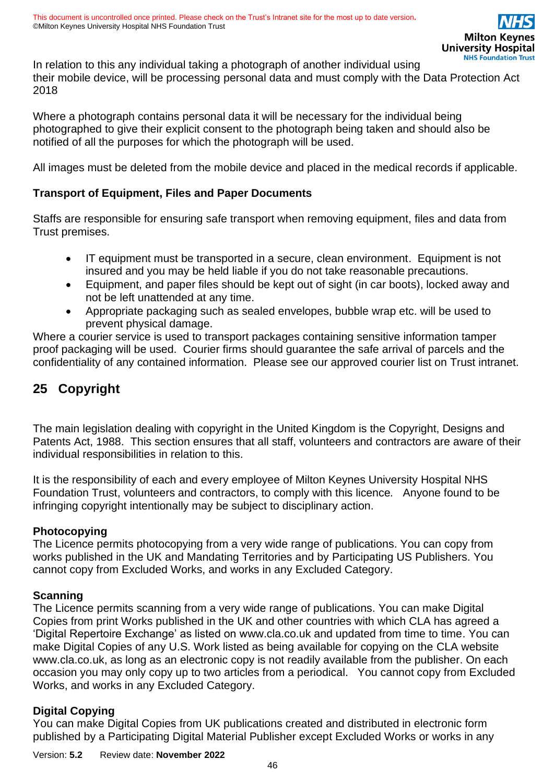In relation to this any individual taking a photograph of another individual using their mobile device, will be processing personal data and must comply with the Data Protection Act 2018

Where a photograph contains personal data it will be necessary for the individual being photographed to give their explicit consent to the photograph being taken and should also be notified of all the purposes for which the photograph will be used.

All images must be deleted from the mobile device and placed in the medical records if applicable.

#### **Transport of Equipment, Files and Paper Documents**

Staffs are responsible for ensuring safe transport when removing equipment, files and data from Trust premises.

- IT equipment must be transported in a secure, clean environment. Equipment is not insured and you may be held liable if you do not take reasonable precautions.
- Equipment, and paper files should be kept out of sight (in car boots), locked away and not be left unattended at any time.
- Appropriate packaging such as sealed envelopes, bubble wrap etc. will be used to prevent physical damage.

Where a courier service is used to transport packages containing sensitive information tamper proof packaging will be used. Courier firms should guarantee the safe arrival of parcels and the confidentiality of any contained information. Please see our approved courier list on Trust intranet.

# <span id="page-45-1"></span><span id="page-45-0"></span>**25 Copyright**

The main legislation dealing with copyright in the United Kingdom is the Copyright, Designs and Patents Act, 1988. This section ensures that all staff, volunteers and contractors are aware of their individual responsibilities in relation to this.

It is the responsibility of each and every employee of Milton Keynes University Hospital NHS Foundation Trust, volunteers and contractors, to comply with this licence*.* Anyone found to be infringing copyright intentionally may be subject to disciplinary action.

#### **Photocopying**

The Licence permits photocopying from a very wide range of publications. You can copy from works published in the UK and Mandating Territories and by Participating US Publishers. You cannot copy from Excluded Works, and works in any Excluded Category.

#### **Scanning**

The Licence permits scanning from a very wide range of publications. You can make Digital Copies from print Works published in the UK and other countries with which CLA has agreed a 'Digital Repertoire Exchange' as listed on www.cla.co.uk and updated from time to time. You can make Digital Copies of any U.S. Work listed as being available for copying on the CLA website www.cla.co.uk, as long as an electronic copy is not readily available from the publisher. On each occasion you may only copy up to two articles from a periodical. You cannot copy from Excluded Works, and works in any Excluded Category.

#### **Digital Copying**

You can make Digital Copies from UK publications created and distributed in electronic form published by a Participating Digital Material Publisher except Excluded Works or works in any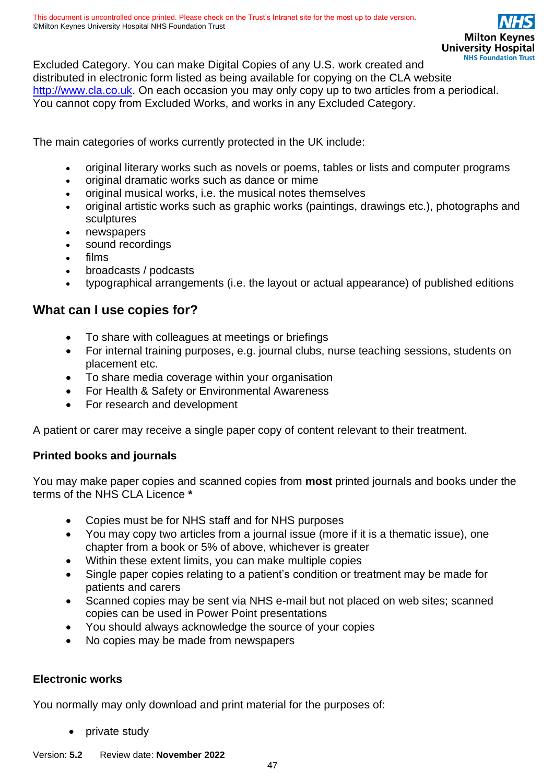Excluded Category. You can make Digital Copies of any U.S. work created and distributed in electronic form listed as being available for copying on the CLA website [http://www.cla.co.uk.](http://www.cla.co.uk/) On each occasion you may only copy up to two articles from a periodical. You cannot copy from Excluded Works, and works in any Excluded Category.

The main categories of works currently protected in the UK include:

- original literary works such as novels or poems, tables or lists and computer programs
- original dramatic works such as dance or mime
- original musical works, i.e. the musical notes themselves
- original artistic works such as graphic works (paintings, drawings etc.), photographs and sculptures
- newspapers
- sound recordings
- films
- broadcasts / podcasts
- typographical arrangements (i.e. the layout or actual appearance) of published editions

### **What can I use copies for?**

- To share with colleagues at meetings or briefings
- For internal training purposes, e.g. journal clubs, nurse teaching sessions, students on placement etc.
- To share media coverage within your organisation
- For Health & Safety or Environmental Awareness
- For research and development

A patient or carer may receive a single paper copy of content relevant to their treatment.

#### **Printed books and journals**

You may make paper copies and scanned copies from **most** printed journals and books under the terms of the NHS CLA Licence **\***

- Copies must be for NHS staff and for NHS purposes
- You may copy two articles from a journal issue (more if it is a thematic issue), one chapter from a book or 5% of above, whichever is greater
- Within these extent limits, you can make multiple copies
- Single paper copies relating to a patient's condition or treatment may be made for patients and carers
- Scanned copies may be sent via NHS e-mail but not placed on web sites; scanned copies can be used in Power Point presentations
- You should always acknowledge the source of your copies
- No copies may be made from newspapers

#### **Electronic works**

You normally may only download and print material for the purposes of:

- private study
- Version: **5.2** Review date: **November 2022**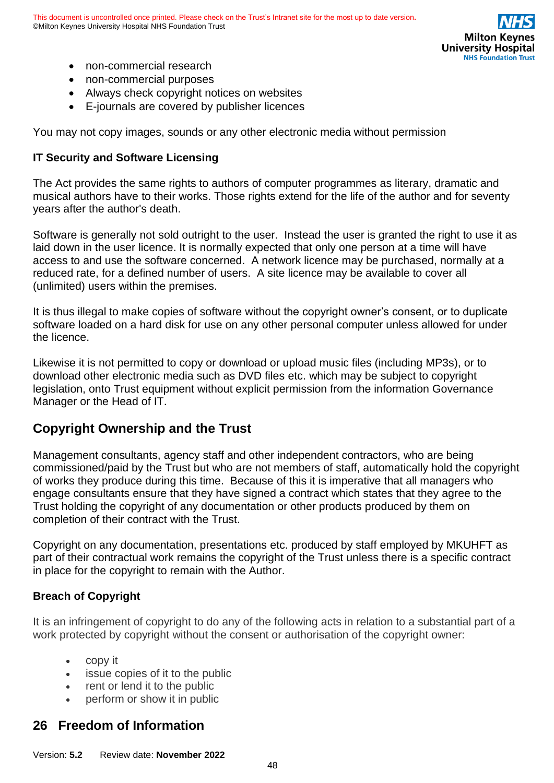

- non-commercial research
- non-commercial purposes
- Always check copyright notices on websites
- E-journals are covered by publisher licences

You may not copy images, sounds or any other electronic media without permission

#### **IT Security and Software Licensing**

The Act provides the same rights to authors of computer programmes as literary, dramatic and musical authors have to their works. Those rights extend for the life of the author and for seventy years after the author's death.

Software is generally not sold outright to the user. Instead the user is granted the right to use it as laid down in the user licence. It is normally expected that only one person at a time will have access to and use the software concerned. A network licence may be purchased, normally at a reduced rate, for a defined number of users. A site licence may be available to cover all (unlimited) users within the premises.

It is thus illegal to make copies of software without the copyright owner's consent, or to duplicate software loaded on a hard disk for use on any other personal computer unless allowed for under the licence.

Likewise it is not permitted to copy or download or upload music files (including MP3s), or to download other electronic media such as DVD files etc. which may be subject to copyright legislation, onto Trust equipment without explicit permission from the information Governance Manager or the Head of IT.

### **Copyright Ownership and the Trust**

Management consultants, agency staff and other independent contractors, who are being commissioned/paid by the Trust but who are not members of staff, automatically hold the copyright of works they produce during this time. Because of this it is imperative that all managers who engage consultants ensure that they have signed a contract which states that they agree to the Trust holding the copyright of any documentation or other products produced by them on completion of their contract with the Trust.

Copyright on any documentation, presentations etc. produced by staff employed by MKUHFT as part of their contractual work remains the copyright of the Trust unless there is a specific contract in place for the copyright to remain with the Author.

#### **Breach of Copyright**

It is an infringement of copyright to do any of the following acts in relation to a substantial part of a work protected by copyright without the consent or authorisation of the copyright owner:

- copy it
- issue copies of it to the public
- rent or lend it to the public
- perform or show it in public

# <span id="page-47-0"></span>**26 Freedom of Information**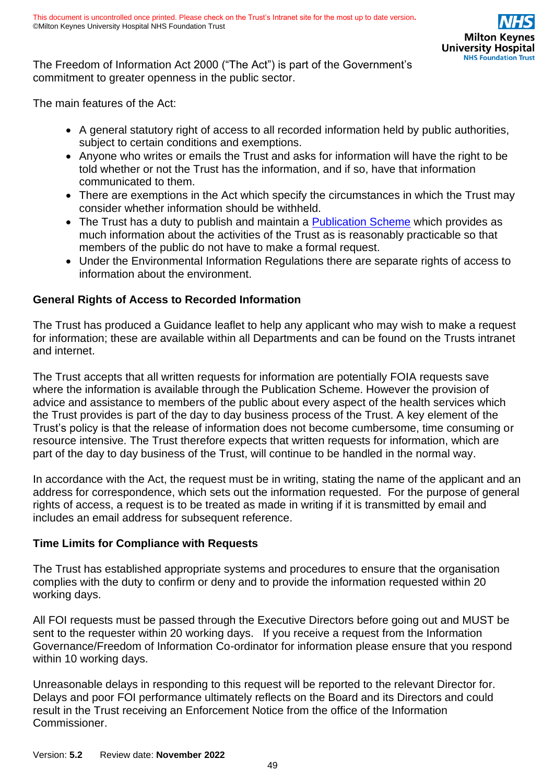The Freedom of Information Act 2000 ("The Act") is part of the Government's commitment to greater openness in the public sector.

The main features of the Act:

- A general statutory right of access to all recorded information held by public authorities, subject to certain conditions and exemptions.
- Anyone who writes or emails the Trust and asks for information will have the right to be told whether or not the Trust has the information, and if so, have that information communicated to them.
- There are exemptions in the Act which specify the circumstances in which the Trust may consider whether information should be withheld.
- The Trust has a duty to publish and maintain a [Publication Scheme](https://intranet.mkuh.nhs.uk/) which provides as much information about the activities of the Trust as is reasonably practicable so that members of the public do not have to make a formal request.
- Under the Environmental Information Regulations there are separate rights of access to information about the environment.

### **General Rights of Access to Recorded Information**

The Trust has produced a Guidance leaflet to help any applicant who may wish to make a request for information; these are available within all Departments and can be found on the Trusts intranet and internet.

The Trust accepts that all written requests for information are potentially FOIA requests save where the information is available through the Publication Scheme. However the provision of advice and assistance to members of the public about every aspect of the health services which the Trust provides is part of the day to day business process of the Trust. A key element of the Trust's policy is that the release of information does not become cumbersome, time consuming or resource intensive. The Trust therefore expects that written requests for information, which are part of the day to day business of the Trust, will continue to be handled in the normal way.

In accordance with the Act, the request must be in writing, stating the name of the applicant and an address for correspondence, which sets out the information requested. For the purpose of general rights of access, a request is to be treated as made in writing if it is transmitted by email and includes an email address for subsequent reference.

### **Time Limits for Compliance with Requests**

The Trust has established appropriate systems and procedures to ensure that the organisation complies with the duty to confirm or deny and to provide the information requested within 20 working days.

All FOI requests must be passed through the Executive Directors before going out and MUST be sent to the requester within 20 working days. If you receive a request from the Information Governance/Freedom of Information Co-ordinator for information please ensure that you respond within 10 working days.

Unreasonable delays in responding to this request will be reported to the relevant Director for. Delays and poor FOI performance ultimately reflects on the Board and its Directors and could result in the Trust receiving an Enforcement Notice from the office of the Information Commissioner.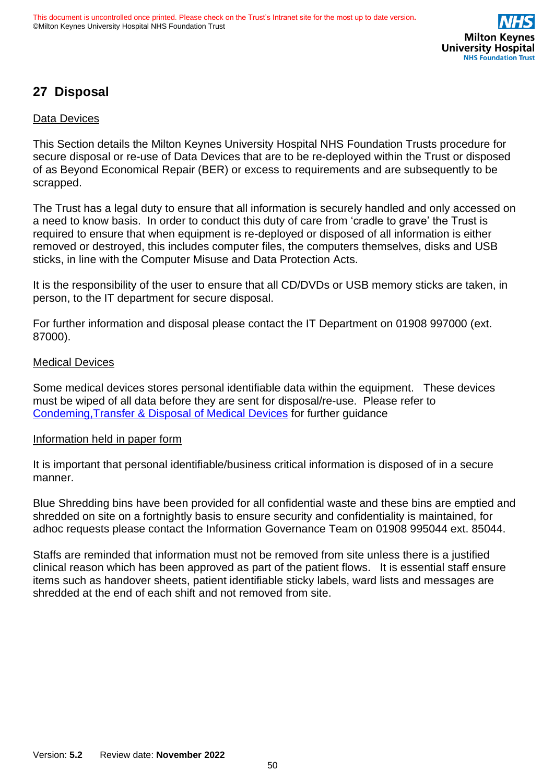# <span id="page-49-0"></span>**27 Disposal**

#### Data Devices

This Section details the Milton Keynes University Hospital NHS Foundation Trusts procedure for secure disposal or re-use of Data Devices that are to be re-deployed within the Trust or disposed of as Beyond Economical Repair (BER) or excess to requirements and are subsequently to be scrapped.

The Trust has a legal duty to ensure that all information is securely handled and only accessed on a need to know basis. In order to conduct this duty of care from 'cradle to grave' the Trust is required to ensure that when equipment is re-deployed or disposed of all information is either removed or destroyed, this includes computer files, the computers themselves, disks and USB sticks, in line with the Computer Misuse and Data Protection Acts.

It is the responsibility of the user to ensure that all CD/DVDs or USB memory sticks are taken, in person, to the IT department for secure disposal.

For further information and disposal please contact the IT Department on 01908 997000 (ext. 87000).

#### Medical Devices

Some medical devices stores personal identifiable data within the equipment. These devices must be wiped of all data before they are sent for disposal/re-use. Please refer to Condeming,Transfer [& Disposal of Medical](https://intranet.mkuh.nhs.uk/) Devices for further guidance

#### Information held in paper form

It is important that personal identifiable/business critical information is disposed of in a secure manner.

Blue Shredding bins have been provided for all confidential waste and these bins are emptied and shredded on site on a fortnightly basis to ensure security and confidentiality is maintained, for adhoc requests please contact the Information Governance Team on 01908 995044 ext. 85044.

Staffs are reminded that information must not be removed from site unless there is a justified clinical reason which has been approved as part of the patient flows. It is essential staff ensure items such as handover sheets, patient identifiable sticky labels, ward lists and messages are shredded at the end of each shift and not removed from site.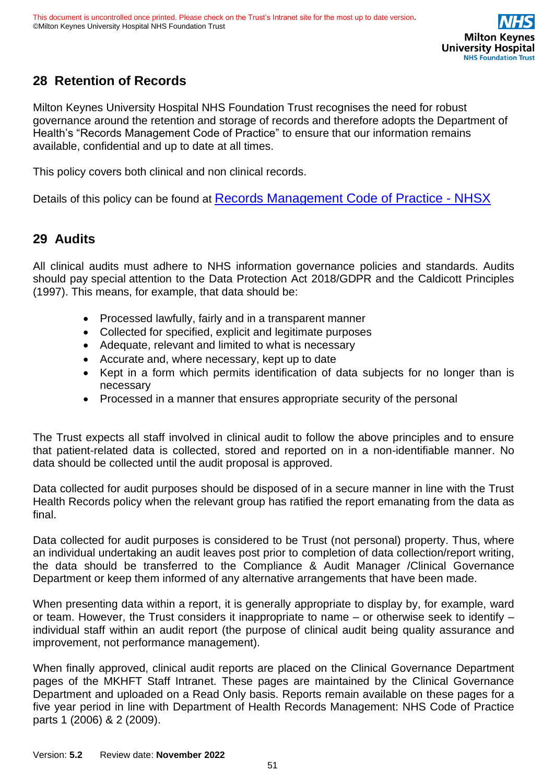# <span id="page-50-0"></span>**28 Retention of Records**

Milton Keynes University Hospital NHS Foundation Trust recognises the need for robust governance around the retention and storage of records and therefore adopts the Department of Health's "Records Management Code of Practice" to ensure that our information remains available, confidential and up to date at all times.

This policy covers both clinical and non clinical records.

Details of this policy can be found at [Records Management Code of Practice -](https://gbr01.safelinks.protection.outlook.com/?url=https%3A%2F%2Fwww.nhsx.nhs.uk%2Finformation-governance%2Fguidance%2Frecords-management-code%2F&data=04%7C01%7CLouise.Sim%40mkuh.nhs.uk%7C4d13ba61a8cb40b45f0308d957e54096%7Ce96dd0a15d474a949e4a5c1056daa82c%7C0%7C0%7C637637464407378290%7CUnknown%7CTWFpbGZsb3d8eyJWIjoiMC4wLjAwMDAiLCJQIjoiV2luMzIiLCJBTiI6Ik1haWwiLCJXVCI6Mn0%3D%7C1000&sdata=j7WFp9ank%2BCXBCl7%2BA7Q2WM%2BcQERxCa%2BrISPy1J2nOo%3D&reserved=0) NHSX

### <span id="page-50-1"></span>**29 Audits**

All clinical audits must adhere to NHS information governance policies and standards. Audits should pay special attention to the Data Protection Act 2018/GDPR and the Caldicott Principles (1997). This means, for example, that data should be:

- Processed lawfully, fairly and in a transparent manner
- Collected for specified, explicit and legitimate purposes
- Adequate, relevant and limited to what is necessary
- Accurate and, where necessary, kept up to date
- Kept in a form which permits identification of data subjects for no longer than is necessary
- Processed in a manner that ensures appropriate security of the personal

The Trust expects all staff involved in clinical audit to follow the above principles and to ensure that patient-related data is collected, stored and reported on in a non-identifiable manner. No data should be collected until the audit proposal is approved.

Data collected for audit purposes should be disposed of in a secure manner in line with the Trust Health Records policy when the relevant group has ratified the report emanating from the data as final.

Data collected for audit purposes is considered to be Trust (not personal) property. Thus, where an individual undertaking an audit leaves post prior to completion of data collection/report writing, the data should be transferred to the Compliance & Audit Manager /Clinical Governance Department or keep them informed of any alternative arrangements that have been made.

When presenting data within a report, it is generally appropriate to display by, for example, ward or team. However, the Trust considers it inappropriate to name – or otherwise seek to identify – individual staff within an audit report (the purpose of clinical audit being quality assurance and improvement, not performance management).

When finally approved, clinical audit reports are placed on the Clinical Governance Department pages of the MKHFT Staff Intranet. These pages are maintained by the Clinical Governance Department and uploaded on a Read Only basis. Reports remain available on these pages for a five year period in line with Department of Health Records Management: NHS Code of Practice parts 1 (2006) & 2 (2009).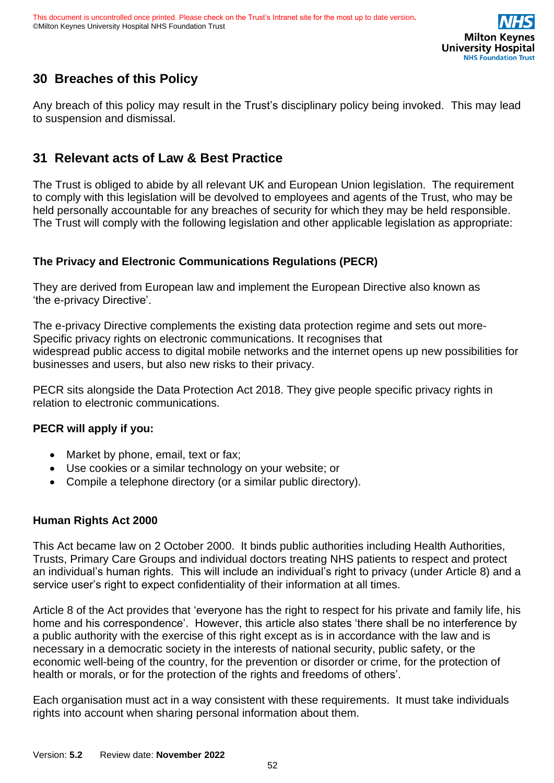

# <span id="page-51-0"></span>**30 Breaches of this Policy**

Any breach of this policy may result in the Trust's disciplinary policy being invoked. This may lead to suspension and dismissal.

# <span id="page-51-1"></span>**31 Relevant acts of Law & Best Practice**

The Trust is obliged to abide by all relevant UK and European Union legislation. The requirement to comply with this legislation will be devolved to employees and agents of the Trust, who may be held personally accountable for any breaches of security for which they may be held responsible. The Trust will comply with the following legislation and other applicable legislation as appropriate:

### **The Privacy and Electronic Communications Regulations (PECR)**

They are derived from European law and implement the European Directive also known as 'the e-privacy Directive'.

The e-privacy Directive complements the existing data protection regime and sets out more-Specific privacy rights on electronic communications. It recognises that widespread public access to digital mobile networks and the internet opens up new possibilities for businesses and users, but also new risks to their privacy.

PECR sits alongside the Data Protection Act 2018. They give people specific privacy rights in relation to electronic communications.

### **PECR will apply if you:**

- Market by phone, email, text or fax;
- Use cookies or a similar technology on your website; or
- Compile a telephone directory (or a similar public directory).

#### **Human Rights Act 2000**

This Act became law on 2 October 2000. It binds public authorities including Health Authorities, Trusts, Primary Care Groups and individual doctors treating NHS patients to respect and protect an individual's human rights. This will include an individual's right to privacy (under Article 8) and a service user's right to expect confidentiality of their information at all times.

Article 8 of the Act provides that 'everyone has the right to respect for his private and family life, his home and his correspondence'. However, this article also states 'there shall be no interference by a public authority with the exercise of this right except as is in accordance with the law and is necessary in a democratic society in the interests of national security, public safety, or the economic well-being of the country, for the prevention or disorder or crime, for the protection of health or morals, or for the protection of the rights and freedoms of others'.

Each organisation must act in a way consistent with these requirements. It must take individuals rights into account when sharing personal information about them.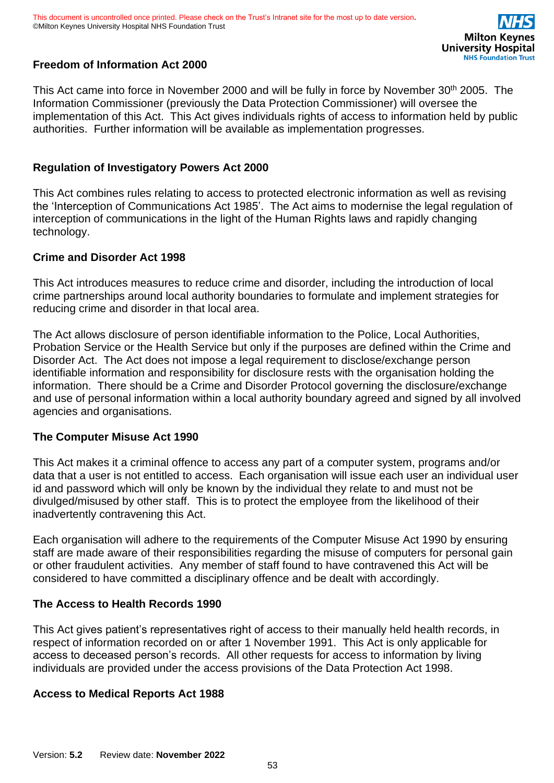

### **Freedom of Information Act 2000**

This Act came into force in November 2000 and will be fully in force by November 30<sup>th</sup> 2005. The Information Commissioner (previously the Data Protection Commissioner) will oversee the implementation of this Act. This Act gives individuals rights of access to information held by public authorities. Further information will be available as implementation progresses.

#### **Regulation of Investigatory Powers Act 2000**

This Act combines rules relating to access to protected electronic information as well as revising the 'Interception of Communications Act 1985'. The Act aims to modernise the legal regulation of interception of communications in the light of the Human Rights laws and rapidly changing technology.

#### **Crime and Disorder Act 1998**

This Act introduces measures to reduce crime and disorder, including the introduction of local crime partnerships around local authority boundaries to formulate and implement strategies for reducing crime and disorder in that local area.

The Act allows disclosure of person identifiable information to the Police, Local Authorities, Probation Service or the Health Service but only if the purposes are defined within the Crime and Disorder Act. The Act does not impose a legal requirement to disclose/exchange person identifiable information and responsibility for disclosure rests with the organisation holding the information. There should be a Crime and Disorder Protocol governing the disclosure/exchange and use of personal information within a local authority boundary agreed and signed by all involved agencies and organisations.

#### **The Computer Misuse Act 1990**

This Act makes it a criminal offence to access any part of a computer system, programs and/or data that a user is not entitled to access. Each organisation will issue each user an individual user id and password which will only be known by the individual they relate to and must not be divulged/misused by other staff. This is to protect the employee from the likelihood of their inadvertently contravening this Act.

Each organisation will adhere to the requirements of the Computer Misuse Act 1990 by ensuring staff are made aware of their responsibilities regarding the misuse of computers for personal gain or other fraudulent activities. Any member of staff found to have contravened this Act will be considered to have committed a disciplinary offence and be dealt with accordingly.

#### **The Access to Health Records 1990**

This Act gives patient's representatives right of access to their manually held health records, in respect of information recorded on or after 1 November 1991. This Act is only applicable for access to deceased person's records. All other requests for access to information by living individuals are provided under the access provisions of the Data Protection Act 1998.

#### **Access to Medical Reports Act 1988**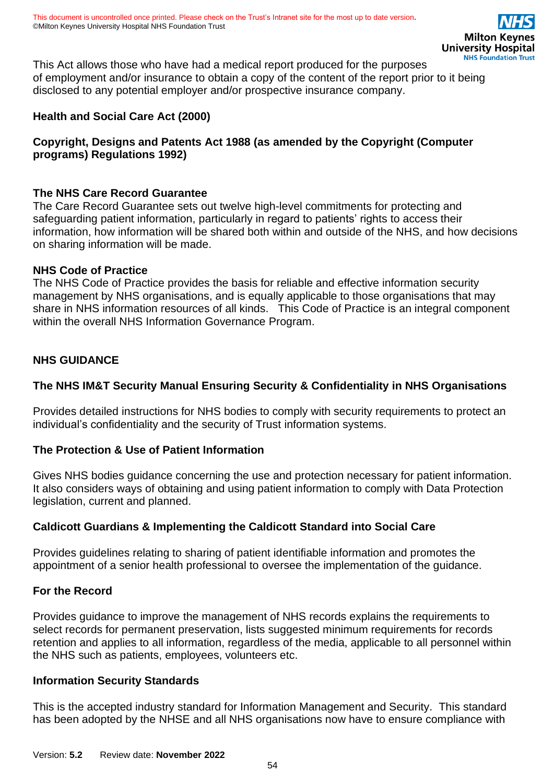This Act allows those who have had a medical report produced for the purposes of employment and/or insurance to obtain a copy of the content of the report prior to it being disclosed to any potential employer and/or prospective insurance company.

### **Health and Social Care Act (2000)**

### **Copyright, Designs and Patents Act 1988 (as amended by the Copyright (Computer programs) Regulations 1992)**

#### **The NHS Care Record Guarantee**

The Care Record Guarantee sets out twelve high-level commitments for protecting and safeguarding patient information, particularly in regard to patients' rights to access their information, how information will be shared both within and outside of the NHS, and how decisions on sharing information will be made.

#### **NHS Code of Practice**

The NHS Code of Practice provides the basis for reliable and effective information security management by NHS organisations, and is equally applicable to those organisations that may share in NHS information resources of all kinds. This Code of Practice is an integral component within the overall NHS Information Governance Program.

#### **NHS GUIDANCE**

### **The NHS IM&T Security Manual Ensuring Security & Confidentiality in NHS Organisations**

Provides detailed instructions for NHS bodies to comply with security requirements to protect an individual's confidentiality and the security of Trust information systems.

#### **The Protection & Use of Patient Information**

Gives NHS bodies guidance concerning the use and protection necessary for patient information. It also considers ways of obtaining and using patient information to comply with Data Protection legislation, current and planned.

#### **Caldicott Guardians & Implementing the Caldicott Standard into Social Care**

Provides guidelines relating to sharing of patient identifiable information and promotes the appointment of a senior health professional to oversee the implementation of the guidance.

#### **For the Record**

Provides guidance to improve the management of NHS records explains the requirements to select records for permanent preservation, lists suggested minimum requirements for records retention and applies to all information, regardless of the media, applicable to all personnel within the NHS such as patients, employees, volunteers etc.

#### **Information Security Standards**

This is the accepted industry standard for Information Management and Security. This standard has been adopted by the NHSE and all NHS organisations now have to ensure compliance with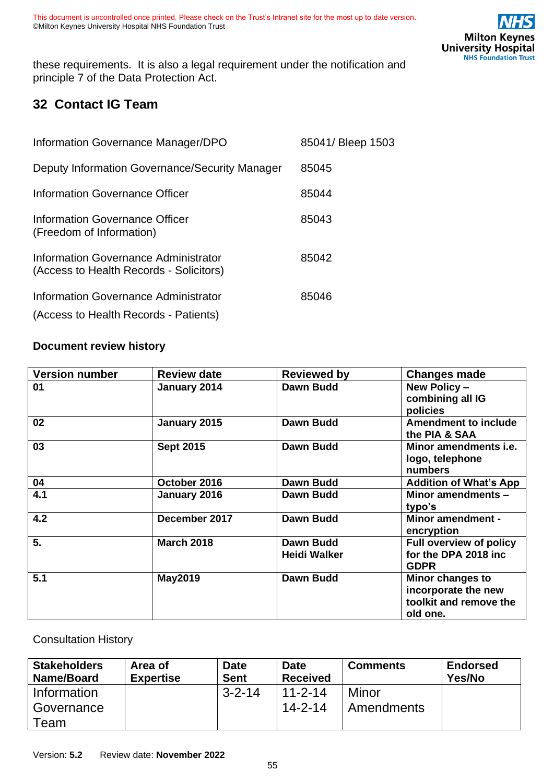these requirements. It is also a legal requirement under the notification and principle 7 of the Data Protection Act.

# <span id="page-54-0"></span>**32 Contact IG Team**

| Information Governance Manager/DPO                                              | 85041/ Bleep 1503 |
|---------------------------------------------------------------------------------|-------------------|
| Deputy Information Governance/Security Manager                                  | 85045             |
| Information Governance Officer                                                  | 85044             |
| Information Governance Officer<br>(Freedom of Information)                      | 85043             |
| Information Governance Administrator<br>(Access to Health Records - Solicitors) | 85042             |
| Information Governance Administrator                                            | 85046             |
| (Access to Health Records - Patients)                                           |                   |

### <span id="page-54-1"></span>**Document review history**

| <b>Version number</b> | <b>Review date</b> | <b>Reviewed by</b>                      | <b>Changes made</b>                                                           |
|-----------------------|--------------------|-----------------------------------------|-------------------------------------------------------------------------------|
| 01                    | January 2014       | <b>Dawn Budd</b>                        | New Policy -<br>combining all IG<br>policies                                  |
| 02                    | January 2015       | <b>Dawn Budd</b>                        | <b>Amendment to include</b><br>the PIA & SAA                                  |
| 03                    | <b>Sept 2015</b>   | <b>Dawn Budd</b>                        | Minor amendments <i>i.e.</i><br>logo, telephone<br>numbers                    |
| 04                    | October 2016       | <b>Dawn Budd</b>                        | <b>Addition of What's App</b>                                                 |
| 4.1                   | January 2016       | <b>Dawn Budd</b>                        | Minor amendments -<br>typo's                                                  |
| 4.2                   | December 2017      | <b>Dawn Budd</b>                        | <b>Minor amendment -</b><br>encryption                                        |
| 5.                    | <b>March 2018</b>  | <b>Dawn Budd</b><br><b>Heidi Walker</b> | <b>Full overview of policy</b><br>for the DPA 2018 inc<br><b>GDPR</b>         |
| 5.1                   | <b>May2019</b>     | <b>Dawn Budd</b>                        | Minor changes to<br>incorporate the new<br>toolkit and remove the<br>old one. |

<span id="page-54-2"></span>Consultation History

| <b>Stakeholders</b><br>Name/Board | Area of<br><b>Expertise</b> | <b>Date</b><br><b>Sent</b> | <b>Date</b><br><b>Received</b> | <b>Comments</b>   | <b>Endorsed</b><br>Yes/No |
|-----------------------------------|-----------------------------|----------------------------|--------------------------------|-------------------|---------------------------|
| Information                       |                             | $3 - 2 - 14$               | $11 - 2 - 14$                  | Minor             |                           |
| Governance                        |                             |                            | $14 - 2 - 14$                  | <b>Amendments</b> |                           |
| Геаm                              |                             |                            |                                |                   |                           |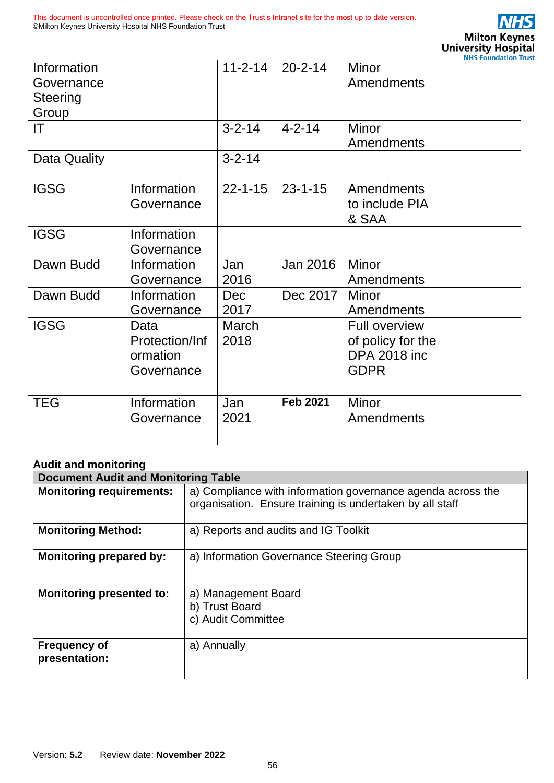

|                           |                                                  |                    |                 |                                                                                 | <b>NHS Foundation Trust</b> |
|---------------------------|--------------------------------------------------|--------------------|-----------------|---------------------------------------------------------------------------------|-----------------------------|
| Information<br>Governance |                                                  | $11 - 2 - 14$      | $20 - 2 - 14$   | <b>Minor</b><br>Amendments                                                      |                             |
| Steering<br>Group         |                                                  |                    |                 |                                                                                 |                             |
| IT                        |                                                  | $3 - 2 - 14$       | $4 - 2 - 14$    | <b>Minor</b><br>Amendments                                                      |                             |
| Data Quality              |                                                  | $3 - 2 - 14$       |                 |                                                                                 |                             |
| <b>IGSG</b>               | Information<br>Governance                        | $22 - 1 - 15$      | $23 - 1 - 15$   | <b>Amendments</b><br>to include PIA<br>& SAA                                    |                             |
| <b>IGSG</b>               | Information<br>Governance                        |                    |                 |                                                                                 |                             |
| Dawn Budd                 | Information<br>Governance                        | Jan<br>2016        | <b>Jan 2016</b> | Minor<br>Amendments                                                             |                             |
| Dawn Budd                 | Information<br>Governance                        | <b>Dec</b><br>2017 | Dec 2017        | <b>Minor</b><br>Amendments                                                      |                             |
| <b>IGSG</b>               | Data<br>Protection/Inf<br>ormation<br>Governance | March<br>2018      |                 | <b>Full overview</b><br>of policy for the<br><b>DPA 2018 inc</b><br><b>GDPR</b> |                             |
| <b>TEG</b>                | Information<br>Governance                        | Jan<br>2021        | <b>Feb 2021</b> | <b>Minor</b><br>Amendments                                                      |                             |

#### <span id="page-55-0"></span>**Audit and monitoring**

| <b>Document Audit and Monitoring Table</b> |                                                                                                                         |  |  |  |
|--------------------------------------------|-------------------------------------------------------------------------------------------------------------------------|--|--|--|
| <b>Monitoring requirements:</b>            | a) Compliance with information governance agenda across the<br>organisation. Ensure training is undertaken by all staff |  |  |  |
| <b>Monitoring Method:</b>                  | a) Reports and audits and IG Toolkit                                                                                    |  |  |  |
| <b>Monitoring prepared by:</b>             | a) Information Governance Steering Group                                                                                |  |  |  |
| <b>Monitoring presented to:</b>            | a) Management Board<br>b) Trust Board<br>c) Audit Committee                                                             |  |  |  |
| <b>Frequency of</b><br>presentation:       | a) Annually                                                                                                             |  |  |  |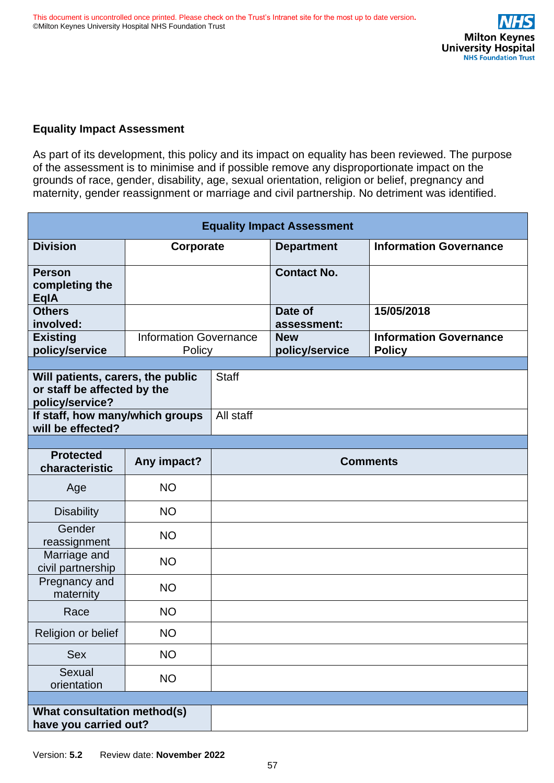#### <span id="page-56-0"></span>**Equality Impact Assessment**

As part of its development, this policy and its impact on equality has been reviewed. The purpose of the assessment is to minimise and if possible remove any disproportionate impact on the grounds of race, gender, disability, age, sexual orientation, religion or belief, pregnancy and maternity, gender reassignment or marriage and civil partnership. No detriment was identified.

| <b>Equality Impact Assessment</b>                                                   |                                         |                 |                              |                                                |
|-------------------------------------------------------------------------------------|-----------------------------------------|-----------------|------------------------------|------------------------------------------------|
| <b>Division</b>                                                                     | Corporate                               |                 | <b>Department</b>            | <b>Information Governance</b>                  |
| <b>Person</b><br>completing the<br><b>EqlA</b>                                      |                                         |                 | <b>Contact No.</b>           |                                                |
| <b>Others</b><br>involved:                                                          |                                         |                 | Date of<br>assessment:       | 15/05/2018                                     |
| <b>Existing</b><br>policy/service                                                   | <b>Information Governance</b><br>Policy |                 | <b>New</b><br>policy/service | <b>Information Governance</b><br><b>Policy</b> |
|                                                                                     |                                         |                 |                              |                                                |
| Will patients, carers, the public<br>or staff be affected by the<br>policy/service? |                                         | <b>Staff</b>    |                              |                                                |
| If staff, how many/which groups<br>will be effected?                                |                                         | All staff       |                              |                                                |
|                                                                                     |                                         |                 |                              |                                                |
| <b>Protected</b><br>characteristic                                                  | Any impact?                             | <b>Comments</b> |                              |                                                |
| Age                                                                                 | <b>NO</b>                               |                 |                              |                                                |
| <b>Disability</b>                                                                   | <b>NO</b>                               |                 |                              |                                                |
| Gender<br>reassignment                                                              | <b>NO</b>                               |                 |                              |                                                |
| Marriage and<br>civil partnership                                                   | <b>NO</b>                               |                 |                              |                                                |
| Pregnancy and<br>maternity                                                          | <b>NO</b>                               |                 |                              |                                                |
| Race                                                                                | <b>NO</b>                               |                 |                              |                                                |
| Religion or belief                                                                  | <b>NO</b>                               |                 |                              |                                                |
| Sex                                                                                 | <b>NO</b>                               |                 |                              |                                                |
| Sexual<br>orientation                                                               | <b>NO</b>                               |                 |                              |                                                |
|                                                                                     |                                         |                 |                              |                                                |
| What consultation method(s)<br>have you carried out?                                |                                         |                 |                              |                                                |